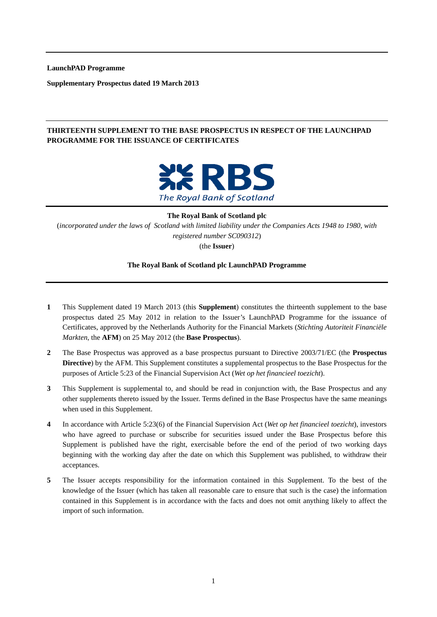**LaunchPAD Programme** 

**Supplementary Prospectus dated 19 March 2013** 

## **THIRTEENTH SUPPLEMENT TO THE BASE PROSPECTUS IN RESPECT OF THE LAUNCHPAD PROGRAMME FOR THE ISSUANCE OF CERTIFICATES**



**The Royal Bank of Scotland plc** (*incorporated under the laws of Scotland with limited liability under the Companies Acts 1948 to 1980, with registered number SC090312*)

(the **Issuer**)

#### **The Royal Bank of Scotland plc LaunchPAD Programme**

- **1** This Supplement dated 19 March 2013 (this **Supplement**) constitutes the thirteenth supplement to the base prospectus dated 25 May 2012 in relation to the Issuer's LaunchPAD Programme for the issuance of Certificates, approved by the Netherlands Authority for the Financial Markets (*Stichting Autoriteit Financiële Markten*, the **AFM**) on 25 May 2012 (the **Base Prospectus**).
- **2** The Base Prospectus was approved as a base prospectus pursuant to Directive 2003/71/EC (the **Prospectus Directive**) by the AFM. This Supplement constitutes a supplemental prospectus to the Base Prospectus for the purposes of Article 5:23 of the Financial Supervision Act (*Wet op het financieel toezicht*).
- **3** This Supplement is supplemental to, and should be read in conjunction with, the Base Prospectus and any other supplements thereto issued by the Issuer. Terms defined in the Base Prospectus have the same meanings when used in this Supplement.
- **4** In accordance with Article 5:23(6) of the Financial Supervision Act (*Wet op het financieel toezicht*), investors who have agreed to purchase or subscribe for securities issued under the Base Prospectus before this Supplement is published have the right, exercisable before the end of the period of two working days beginning with the working day after the date on which this Supplement was published, to withdraw their acceptances.
- **5** The Issuer accepts responsibility for the information contained in this Supplement. To the best of the knowledge of the Issuer (which has taken all reasonable care to ensure that such is the case) the information contained in this Supplement is in accordance with the facts and does not omit anything likely to affect the import of such information.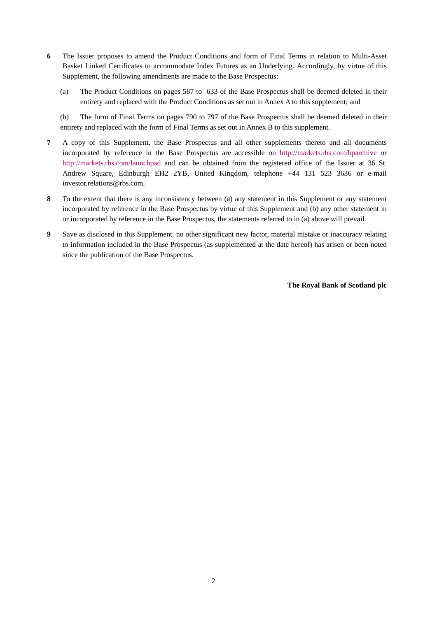- **6** The Issuer proposes to amend the Product Conditions and form of Final Terms in relation to Multi-Asset Basket Linked Certificates to accommodate Index Futures as an Underlying. Accordingly, by virtue of this Supplement, the following amendments are made to the Base Prospectus:
	- (a) The Product Conditions on pages 587 to 633 of the Base Prospectus shall be deemed deleted in their entirety and replaced with the Product Conditions as set out in Annex A to this supplement; and

(b) The form of Final Terms on pages 790 to 797 of the Base Prospectus shall be deemed deleted in their entirety and replaced with the form of Final Terms as set out in Annex B to this supplement.

- **7** A copy of this Supplement, the Base Prospectus and all other supplements thereto and all documents incorporated by reference in the Base Prospectus are accessible on http://markets.rbs.com/bparchive or http://markets.rbs.com/launchpad and can be obtained from the registered office of the Issuer at 36 St. Andrew Square, Edinburgh EH2 2YB, United Kingdom, telephone +44 131 523 3636 or e-mail investor.relations@rbs.com.
- **8** To the extent that there is any inconsistency between (a) any statement in this Supplement or any statement incorporated by reference in the Base Prospectus by virtue of this Supplement and (b) any other statement in or incorporated by reference in the Base Prospectus, the statements referred to in (a) above will prevail.
- **9** Save as disclosed in this Supplement, no other significant new factor, material mistake or inaccuracy relating to information included in the Base Prospectus (as supplemented at the date hereof) has arisen or been noted since the publication of the Base Prospectus.

**The Royal Bank of Scotland plc**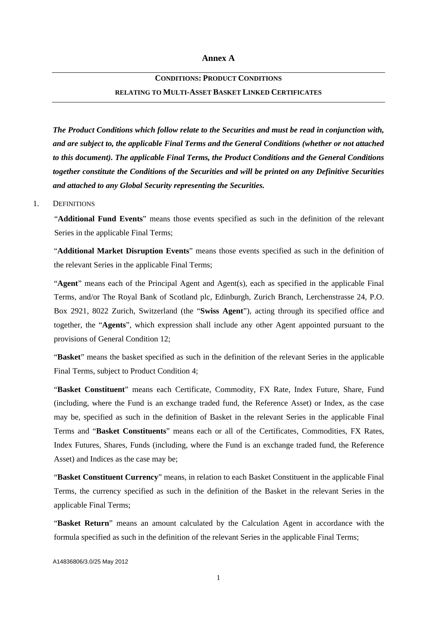# **CONDITIONS: PRODUCT CONDITIONS RELATING TO MULTI-ASSET BASKET LINKED CERTIFICATES**

*The Product Conditions which follow relate to the Securities and must be read in conjunction with, and are subject to, the applicable Final Terms and the General Conditions (whether or not attached to this document). The applicable Final Terms, the Product Conditions and the General Conditions together constitute the Conditions of the Securities and will be printed on any Definitive Securities and attached to any Global Security representing the Securities.* 

#### 1. DEFINITIONS

"**Additional Fund Events**" means those events specified as such in the definition of the relevant Series in the applicable Final Terms;

"**Additional Market Disruption Events**" means those events specified as such in the definition of the relevant Series in the applicable Final Terms;

"**Agent**" means each of the Principal Agent and Agent(s), each as specified in the applicable Final Terms, and/or The Royal Bank of Scotland plc, Edinburgh, Zurich Branch, Lerchenstrasse 24, P.O. Box 2921, 8022 Zurich, Switzerland (the "**Swiss Agent**"), acting through its specified office and together, the "**Agents**", which expression shall include any other Agent appointed pursuant to the provisions of General Condition 12;

"**Basket**" means the basket specified as such in the definition of the relevant Series in the applicable Final Terms, subject to Product Condition 4;

"**Basket Constituent**" means each Certificate, Commodity, FX Rate, Index Future, Share, Fund (including, where the Fund is an exchange traded fund, the Reference Asset) or Index, as the case may be, specified as such in the definition of Basket in the relevant Series in the applicable Final Terms and "**Basket Constituents**" means each or all of the Certificates, Commodities, FX Rates, Index Futures, Shares, Funds (including, where the Fund is an exchange traded fund, the Reference Asset) and Indices as the case may be;

"**Basket Constituent Currency**" means, in relation to each Basket Constituent in the applicable Final Terms, the currency specified as such in the definition of the Basket in the relevant Series in the applicable Final Terms;

"**Basket Return**" means an amount calculated by the Calculation Agent in accordance with the formula specified as such in the definition of the relevant Series in the applicable Final Terms;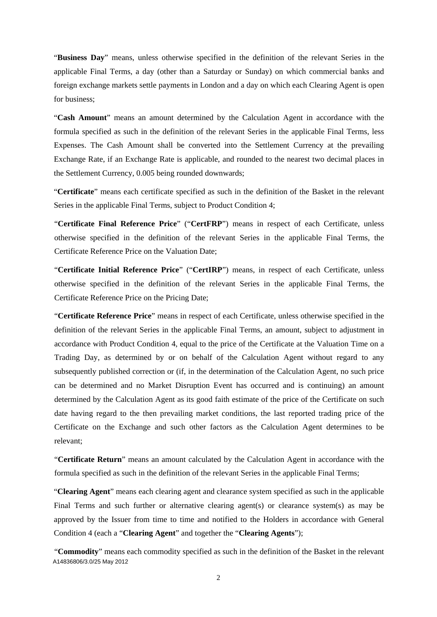"**Business Day**" means, unless otherwise specified in the definition of the relevant Series in the applicable Final Terms, a day (other than a Saturday or Sunday) on which commercial banks and foreign exchange markets settle payments in London and a day on which each Clearing Agent is open for business;

"**Cash Amount**" means an amount determined by the Calculation Agent in accordance with the formula specified as such in the definition of the relevant Series in the applicable Final Terms, less Expenses. The Cash Amount shall be converted into the Settlement Currency at the prevailing Exchange Rate, if an Exchange Rate is applicable, and rounded to the nearest two decimal places in the Settlement Currency, 0.005 being rounded downwards;

"**Certificate**" means each certificate specified as such in the definition of the Basket in the relevant Series in the applicable Final Terms, subject to Product Condition 4;

"**Certificate Final Reference Price**" ("**CertFRP**") means in respect of each Certificate, unless otherwise specified in the definition of the relevant Series in the applicable Final Terms, the Certificate Reference Price on the Valuation Date;

"**Certificate Initial Reference Price**" ("**CertIRP**") means, in respect of each Certificate, unless otherwise specified in the definition of the relevant Series in the applicable Final Terms, the Certificate Reference Price on the Pricing Date;

"**Certificate Reference Price**" means in respect of each Certificate, unless otherwise specified in the definition of the relevant Series in the applicable Final Terms, an amount, subject to adjustment in accordance with Product Condition 4, equal to the price of the Certificate at the Valuation Time on a Trading Day, as determined by or on behalf of the Calculation Agent without regard to any subsequently published correction or (if, in the determination of the Calculation Agent, no such price can be determined and no Market Disruption Event has occurred and is continuing) an amount determined by the Calculation Agent as its good faith estimate of the price of the Certificate on such date having regard to the then prevailing market conditions, the last reported trading price of the Certificate on the Exchange and such other factors as the Calculation Agent determines to be relevant;

"**Certificate Return**" means an amount calculated by the Calculation Agent in accordance with the formula specified as such in the definition of the relevant Series in the applicable Final Terms;

"**Clearing Agent**" means each clearing agent and clearance system specified as such in the applicable Final Terms and such further or alternative clearing agent(s) or clearance system(s) as may be approved by the Issuer from time to time and notified to the Holders in accordance with General Condition 4 (each a "**Clearing Agent**" and together the "**Clearing Agents**");

A14836806/3.0/25 May 2012 "**Commodity**" means each commodity specified as such in the definition of the Basket in the relevant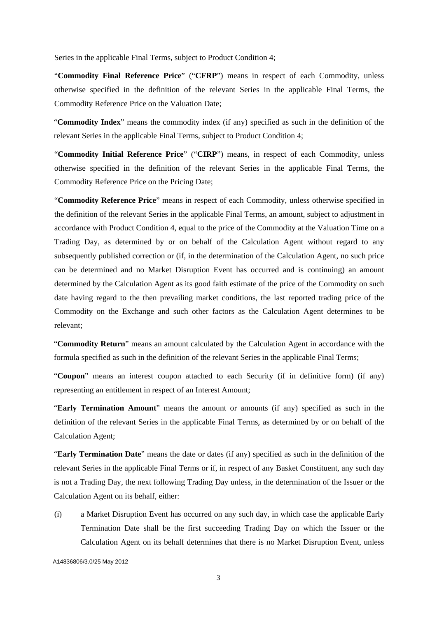Series in the applicable Final Terms, subject to Product Condition 4;

"**Commodity Final Reference Price**" ("**CFRP**") means in respect of each Commodity, unless otherwise specified in the definition of the relevant Series in the applicable Final Terms, the Commodity Reference Price on the Valuation Date;

"**Commodity Index**" means the commodity index (if any) specified as such in the definition of the relevant Series in the applicable Final Terms, subject to Product Condition 4;

"**Commodity Initial Reference Price**" ("**CIRP**") means, in respect of each Commodity, unless otherwise specified in the definition of the relevant Series in the applicable Final Terms, the Commodity Reference Price on the Pricing Date;

"**Commodity Reference Price**" means in respect of each Commodity, unless otherwise specified in the definition of the relevant Series in the applicable Final Terms, an amount, subject to adjustment in accordance with Product Condition 4, equal to the price of the Commodity at the Valuation Time on a Trading Day, as determined by or on behalf of the Calculation Agent without regard to any subsequently published correction or (if, in the determination of the Calculation Agent, no such price can be determined and no Market Disruption Event has occurred and is continuing) an amount determined by the Calculation Agent as its good faith estimate of the price of the Commodity on such date having regard to the then prevailing market conditions, the last reported trading price of the Commodity on the Exchange and such other factors as the Calculation Agent determines to be relevant;

"**Commodity Return**" means an amount calculated by the Calculation Agent in accordance with the formula specified as such in the definition of the relevant Series in the applicable Final Terms;

"**Coupon**" means an interest coupon attached to each Security (if in definitive form) (if any) representing an entitlement in respect of an Interest Amount;

"**Early Termination Amount**" means the amount or amounts (if any) specified as such in the definition of the relevant Series in the applicable Final Terms, as determined by or on behalf of the Calculation Agent;

"**Early Termination Date**" means the date or dates (if any) specified as such in the definition of the relevant Series in the applicable Final Terms or if, in respect of any Basket Constituent, any such day is not a Trading Day, the next following Trading Day unless, in the determination of the Issuer or the Calculation Agent on its behalf, either:

(i) a Market Disruption Event has occurred on any such day, in which case the applicable Early Termination Date shall be the first succeeding Trading Day on which the Issuer or the Calculation Agent on its behalf determines that there is no Market Disruption Event, unless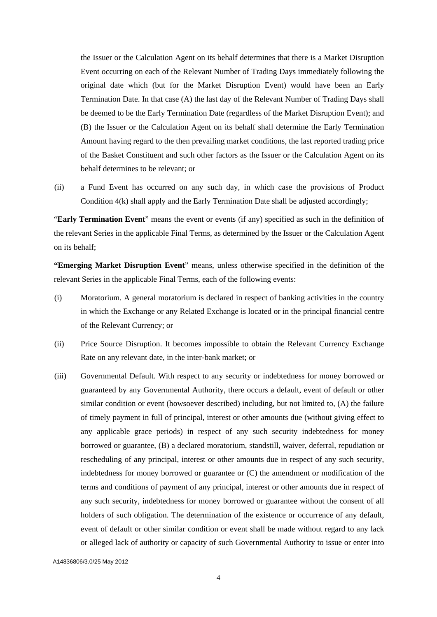the Issuer or the Calculation Agent on its behalf determines that there is a Market Disruption Event occurring on each of the Relevant Number of Trading Days immediately following the original date which (but for the Market Disruption Event) would have been an Early Termination Date. In that case (A) the last day of the Relevant Number of Trading Days shall be deemed to be the Early Termination Date (regardless of the Market Disruption Event); and (B) the Issuer or the Calculation Agent on its behalf shall determine the Early Termination Amount having regard to the then prevailing market conditions, the last reported trading price of the Basket Constituent and such other factors as the Issuer or the Calculation Agent on its behalf determines to be relevant; or

(ii) a Fund Event has occurred on any such day, in which case the provisions of Product Condition  $4(k)$  shall apply and the Early Termination Date shall be adjusted accordingly;

"**Early Termination Event**" means the event or events (if any) specified as such in the definition of the relevant Series in the applicable Final Terms, as determined by the Issuer or the Calculation Agent on its behalf;

**"Emerging Market Disruption Event**" means, unless otherwise specified in the definition of the relevant Series in the applicable Final Terms, each of the following events:

- (i) Moratorium. A general moratorium is declared in respect of banking activities in the country in which the Exchange or any Related Exchange is located or in the principal financial centre of the Relevant Currency; or
- (ii) Price Source Disruption. It becomes impossible to obtain the Relevant Currency Exchange Rate on any relevant date, in the inter-bank market; or
- (iii) Governmental Default. With respect to any security or indebtedness for money borrowed or guaranteed by any Governmental Authority, there occurs a default, event of default or other similar condition or event (howsoever described) including, but not limited to, (A) the failure of timely payment in full of principal, interest or other amounts due (without giving effect to any applicable grace periods) in respect of any such security indebtedness for money borrowed or guarantee, (B) a declared moratorium, standstill, waiver, deferral, repudiation or rescheduling of any principal, interest or other amounts due in respect of any such security, indebtedness for money borrowed or guarantee or (C) the amendment or modification of the terms and conditions of payment of any principal, interest or other amounts due in respect of any such security, indebtedness for money borrowed or guarantee without the consent of all holders of such obligation. The determination of the existence or occurrence of any default, event of default or other similar condition or event shall be made without regard to any lack or alleged lack of authority or capacity of such Governmental Authority to issue or enter into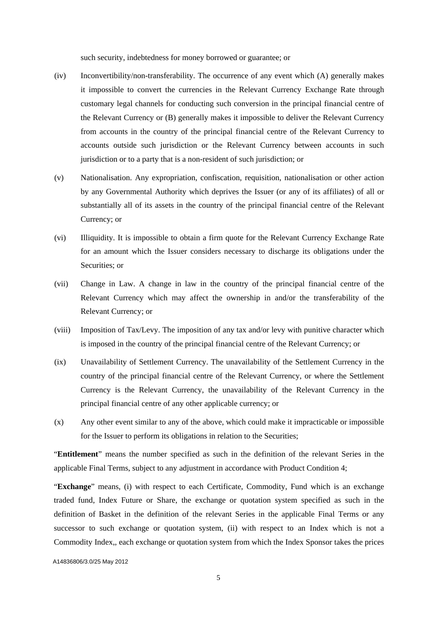such security, indebtedness for money borrowed or guarantee; or

- (iv) Inconvertibility/non-transferability. The occurrence of any event which (A) generally makes it impossible to convert the currencies in the Relevant Currency Exchange Rate through customary legal channels for conducting such conversion in the principal financial centre of the Relevant Currency or (B) generally makes it impossible to deliver the Relevant Currency from accounts in the country of the principal financial centre of the Relevant Currency to accounts outside such jurisdiction or the Relevant Currency between accounts in such jurisdiction or to a party that is a non-resident of such jurisdiction; or
- (v) Nationalisation. Any expropriation, confiscation, requisition, nationalisation or other action by any Governmental Authority which deprives the Issuer (or any of its affiliates) of all or substantially all of its assets in the country of the principal financial centre of the Relevant Currency; or
- (vi) Illiquidity. It is impossible to obtain a firm quote for the Relevant Currency Exchange Rate for an amount which the Issuer considers necessary to discharge its obligations under the Securities; or
- (vii) Change in Law. A change in law in the country of the principal financial centre of the Relevant Currency which may affect the ownership in and/or the transferability of the Relevant Currency; or
- (viii) Imposition of Tax/Levy. The imposition of any tax and/or levy with punitive character which is imposed in the country of the principal financial centre of the Relevant Currency; or
- (ix) Unavailability of Settlement Currency. The unavailability of the Settlement Currency in the country of the principal financial centre of the Relevant Currency, or where the Settlement Currency is the Relevant Currency, the unavailability of the Relevant Currency in the principal financial centre of any other applicable currency; or
- (x) Any other event similar to any of the above, which could make it impracticable or impossible for the Issuer to perform its obligations in relation to the Securities;

"**Entitlement**" means the number specified as such in the definition of the relevant Series in the applicable Final Terms, subject to any adjustment in accordance with Product Condition 4;

"**Exchange**" means, (i) with respect to each Certificate, Commodity, Fund which is an exchange traded fund, Index Future or Share, the exchange or quotation system specified as such in the definition of Basket in the definition of the relevant Series in the applicable Final Terms or any successor to such exchange or quotation system, (ii) with respect to an Index which is not a Commodity Index,, each exchange or quotation system from which the Index Sponsor takes the prices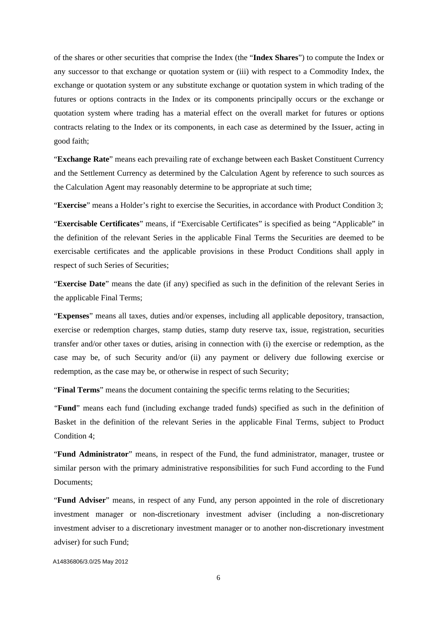of the shares or other securities that comprise the Index (the "**Index Shares**") to compute the Index or any successor to that exchange or quotation system or (iii) with respect to a Commodity Index, the exchange or quotation system or any substitute exchange or quotation system in which trading of the futures or options contracts in the Index or its components principally occurs or the exchange or quotation system where trading has a material effect on the overall market for futures or options contracts relating to the Index or its components, in each case as determined by the Issuer, acting in good faith;

"**Exchange Rate**" means each prevailing rate of exchange between each Basket Constituent Currency and the Settlement Currency as determined by the Calculation Agent by reference to such sources as the Calculation Agent may reasonably determine to be appropriate at such time;

"**Exercise**" means a Holder's right to exercise the Securities, in accordance with Product Condition 3;

"**Exercisable Certificates**" means, if "Exercisable Certificates" is specified as being "Applicable" in the definition of the relevant Series in the applicable Final Terms the Securities are deemed to be exercisable certificates and the applicable provisions in these Product Conditions shall apply in respect of such Series of Securities;

"**Exercise Date**" means the date (if any) specified as such in the definition of the relevant Series in the applicable Final Terms;

"**Expenses**" means all taxes, duties and/or expenses, including all applicable depository, transaction, exercise or redemption charges, stamp duties, stamp duty reserve tax, issue, registration, securities transfer and/or other taxes or duties, arising in connection with (i) the exercise or redemption, as the case may be, of such Security and/or (ii) any payment or delivery due following exercise or redemption, as the case may be, or otherwise in respect of such Security;

"**Final Terms**" means the document containing the specific terms relating to the Securities;

"**Fund**" means each fund (including exchange traded funds) specified as such in the definition of Basket in the definition of the relevant Series in the applicable Final Terms, subject to Product Condition 4;

"**Fund Administrator**" means, in respect of the Fund, the fund administrator, manager, trustee or similar person with the primary administrative responsibilities for such Fund according to the Fund Documents;

"**Fund Adviser**" means, in respect of any Fund, any person appointed in the role of discretionary investment manager or non-discretionary investment adviser (including a non-discretionary investment adviser to a discretionary investment manager or to another non-discretionary investment adviser) for such Fund;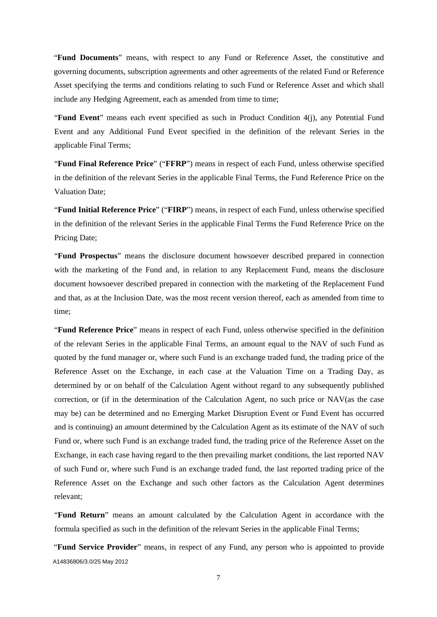"**Fund Documents**" means, with respect to any Fund or Reference Asset, the constitutive and governing documents, subscription agreements and other agreements of the related Fund or Reference Asset specifying the terms and conditions relating to such Fund or Reference Asset and which shall include any Hedging Agreement, each as amended from time to time;

"**Fund Event**" means each event specified as such in Product Condition 4(j), any Potential Fund Event and any Additional Fund Event specified in the definition of the relevant Series in the applicable Final Terms;

"**Fund Final Reference Price**" ("**FFRP**") means in respect of each Fund, unless otherwise specified in the definition of the relevant Series in the applicable Final Terms, the Fund Reference Price on the Valuation Date;

"**Fund Initial Reference Price**" ("**FIRP**") means, in respect of each Fund, unless otherwise specified in the definition of the relevant Series in the applicable Final Terms the Fund Reference Price on the Pricing Date;

"**Fund Prospectus**" means the disclosure document howsoever described prepared in connection with the marketing of the Fund and, in relation to any Replacement Fund, means the disclosure document howsoever described prepared in connection with the marketing of the Replacement Fund and that, as at the Inclusion Date, was the most recent version thereof, each as amended from time to time;

"**Fund Reference Price**" means in respect of each Fund, unless otherwise specified in the definition of the relevant Series in the applicable Final Terms, an amount equal to the NAV of such Fund as quoted by the fund manager or, where such Fund is an exchange traded fund, the trading price of the Reference Asset on the Exchange, in each case at the Valuation Time on a Trading Day, as determined by or on behalf of the Calculation Agent without regard to any subsequently published correction, or (if in the determination of the Calculation Agent, no such price or NAV(as the case may be) can be determined and no Emerging Market Disruption Event or Fund Event has occurred and is continuing) an amount determined by the Calculation Agent as its estimate of the NAV of such Fund or, where such Fund is an exchange traded fund, the trading price of the Reference Asset on the Exchange, in each case having regard to the then prevailing market conditions, the last reported NAV of such Fund or, where such Fund is an exchange traded fund, the last reported trading price of the Reference Asset on the Exchange and such other factors as the Calculation Agent determines relevant;

"**Fund Return**" means an amount calculated by the Calculation Agent in accordance with the formula specified as such in the definition of the relevant Series in the applicable Final Terms;

A14836806/3.0/25 May 2012 "**Fund Service Provider**" means, in respect of any Fund, any person who is appointed to provide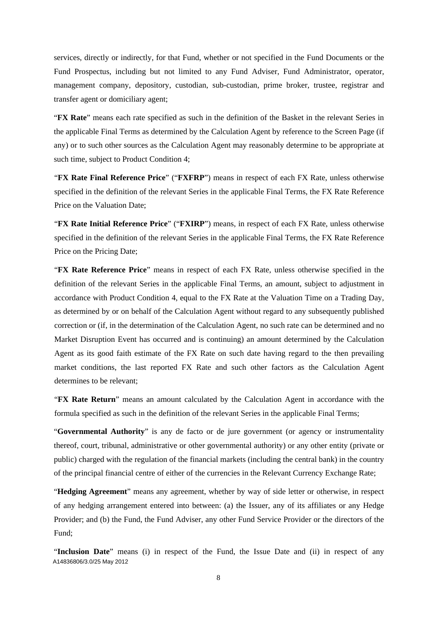services, directly or indirectly, for that Fund, whether or not specified in the Fund Documents or the Fund Prospectus, including but not limited to any Fund Adviser, Fund Administrator, operator, management company, depository, custodian, sub-custodian, prime broker, trustee, registrar and transfer agent or domiciliary agent;

"**FX Rate**" means each rate specified as such in the definition of the Basket in the relevant Series in the applicable Final Terms as determined by the Calculation Agent by reference to the Screen Page (if any) or to such other sources as the Calculation Agent may reasonably determine to be appropriate at such time, subject to Product Condition 4;

"**FX Rate Final Reference Price**" ("**FXFRP**") means in respect of each FX Rate, unless otherwise specified in the definition of the relevant Series in the applicable Final Terms, the FX Rate Reference Price on the Valuation Date;

"**FX Rate Initial Reference Price**" ("**FXIRP**") means, in respect of each FX Rate, unless otherwise specified in the definition of the relevant Series in the applicable Final Terms, the FX Rate Reference Price on the Pricing Date;

"**FX Rate Reference Price**" means in respect of each FX Rate, unless otherwise specified in the definition of the relevant Series in the applicable Final Terms, an amount, subject to adjustment in accordance with Product Condition 4, equal to the FX Rate at the Valuation Time on a Trading Day, as determined by or on behalf of the Calculation Agent without regard to any subsequently published correction or (if, in the determination of the Calculation Agent, no such rate can be determined and no Market Disruption Event has occurred and is continuing) an amount determined by the Calculation Agent as its good faith estimate of the FX Rate on such date having regard to the then prevailing market conditions, the last reported FX Rate and such other factors as the Calculation Agent determines to be relevant;

"**FX Rate Return**" means an amount calculated by the Calculation Agent in accordance with the formula specified as such in the definition of the relevant Series in the applicable Final Terms;

"**Governmental Authority**" is any de facto or de jure government (or agency or instrumentality thereof, court, tribunal, administrative or other governmental authority) or any other entity (private or public) charged with the regulation of the financial markets (including the central bank) in the country of the principal financial centre of either of the currencies in the Relevant Currency Exchange Rate;

"**Hedging Agreement**" means any agreement, whether by way of side letter or otherwise, in respect of any hedging arrangement entered into between: (a) the Issuer, any of its affiliates or any Hedge Provider; and (b) the Fund, the Fund Adviser, any other Fund Service Provider or the directors of the Fund;

A14836806/3.0/25 May 2012 "**Inclusion Date**" means (i) in respect of the Fund, the Issue Date and (ii) in respect of any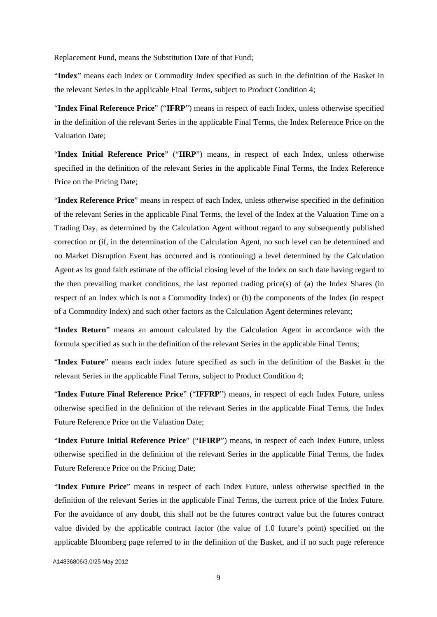Replacement Fund, means the Substitution Date of that Fund;

"**Index**" means each index or Commodity Index specified as such in the definition of the Basket in the relevant Series in the applicable Final Terms, subject to Product Condition 4;

"**Index Final Reference Price**" ("**IFRP**") means in respect of each Index, unless otherwise specified in the definition of the relevant Series in the applicable Final Terms, the Index Reference Price on the Valuation Date;

"**Index Initial Reference Price**" ("**IIRP**") means, in respect of each Index, unless otherwise specified in the definition of the relevant Series in the applicable Final Terms, the Index Reference Price on the Pricing Date;

"**Index Reference Price**" means in respect of each Index, unless otherwise specified in the definition of the relevant Series in the applicable Final Terms, the level of the Index at the Valuation Time on a Trading Day, as determined by the Calculation Agent without regard to any subsequently published correction or (if, in the determination of the Calculation Agent, no such level can be determined and no Market Disruption Event has occurred and is continuing) a level determined by the Calculation Agent as its good faith estimate of the official closing level of the Index on such date having regard to the then prevailing market conditions, the last reported trading price(s) of (a) the Index Shares (in respect of an Index which is not a Commodity Index) or (b) the components of the Index (in respect of a Commodity Index) and such other factors as the Calculation Agent determines relevant;

"**Index Return**" means an amount calculated by the Calculation Agent in accordance with the formula specified as such in the definition of the relevant Series in the applicable Final Terms;

"**Index Future**" means each index future specified as such in the definition of the Basket in the relevant Series in the applicable Final Terms, subject to Product Condition 4;

"**Index Future Final Reference Price**" ("**IFFRP**") means, in respect of each Index Future, unless otherwise specified in the definition of the relevant Series in the applicable Final Terms, the Index Future Reference Price on the Valuation Date;

"**Index Future Initial Reference Price**" ("**IFIRP**") means, in respect of each Index Future, unless otherwise specified in the definition of the relevant Series in the applicable Final Terms, the Index Future Reference Price on the Pricing Date;

"**Index Future Price**" means in respect of each Index Future, unless otherwise specified in the definition of the relevant Series in the applicable Final Terms, the current price of the Index Future. For the avoidance of any doubt, this shall not be the futures contract value but the futures contract value divided by the applicable contract factor (the value of 1.0 future's point) specified on the applicable Bloomberg page referred to in the definition of the Basket, and if no such page reference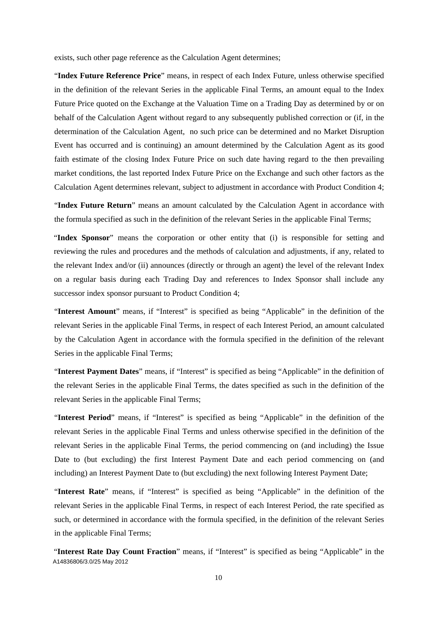exists, such other page reference as the Calculation Agent determines;

"**Index Future Reference Price**" means, in respect of each Index Future, unless otherwise specified in the definition of the relevant Series in the applicable Final Terms, an amount equal to the Index Future Price quoted on the Exchange at the Valuation Time on a Trading Day as determined by or on behalf of the Calculation Agent without regard to any subsequently published correction or (if, in the determination of the Calculation Agent, no such price can be determined and no Market Disruption Event has occurred and is continuing) an amount determined by the Calculation Agent as its good faith estimate of the closing Index Future Price on such date having regard to the then prevailing market conditions, the last reported Index Future Price on the Exchange and such other factors as the Calculation Agent determines relevant, subject to adjustment in accordance with Product Condition 4;

"**Index Future Return**" means an amount calculated by the Calculation Agent in accordance with the formula specified as such in the definition of the relevant Series in the applicable Final Terms;

"**Index Sponsor**" means the corporation or other entity that (i) is responsible for setting and reviewing the rules and procedures and the methods of calculation and adjustments, if any, related to the relevant Index and/or (ii) announces (directly or through an agent) the level of the relevant Index on a regular basis during each Trading Day and references to Index Sponsor shall include any successor index sponsor pursuant to Product Condition 4;

"**Interest Amount**" means, if "Interest" is specified as being "Applicable" in the definition of the relevant Series in the applicable Final Terms, in respect of each Interest Period, an amount calculated by the Calculation Agent in accordance with the formula specified in the definition of the relevant Series in the applicable Final Terms;

"**Interest Payment Dates**" means, if "Interest" is specified as being "Applicable" in the definition of the relevant Series in the applicable Final Terms, the dates specified as such in the definition of the relevant Series in the applicable Final Terms;

"**Interest Period**" means, if "Interest" is specified as being "Applicable" in the definition of the relevant Series in the applicable Final Terms and unless otherwise specified in the definition of the relevant Series in the applicable Final Terms, the period commencing on (and including) the Issue Date to (but excluding) the first Interest Payment Date and each period commencing on (and including) an Interest Payment Date to (but excluding) the next following Interest Payment Date;

"**Interest Rate**" means, if "Interest" is specified as being "Applicable" in the definition of the relevant Series in the applicable Final Terms, in respect of each Interest Period, the rate specified as such, or determined in accordance with the formula specified, in the definition of the relevant Series in the applicable Final Terms;

A14836806/3.0/25 May 2012 "**Interest Rate Day Count Fraction**" means, if "Interest" is specified as being "Applicable" in the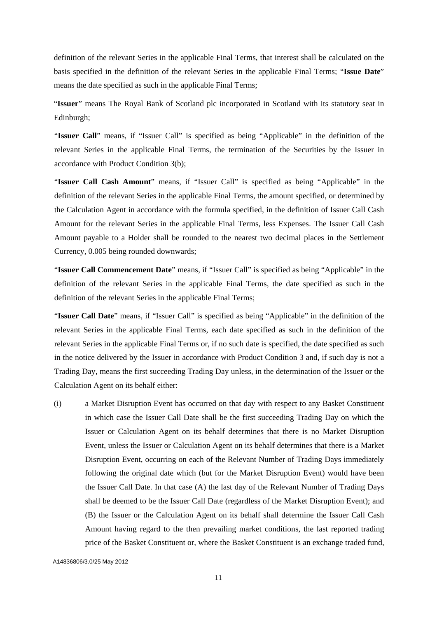definition of the relevant Series in the applicable Final Terms, that interest shall be calculated on the basis specified in the definition of the relevant Series in the applicable Final Terms; "**Issue Date**" means the date specified as such in the applicable Final Terms;

"**Issuer**" means The Royal Bank of Scotland plc incorporated in Scotland with its statutory seat in Edinburgh;

"**Issuer Call**" means, if "Issuer Call" is specified as being "Applicable" in the definition of the relevant Series in the applicable Final Terms, the termination of the Securities by the Issuer in accordance with Product Condition 3(b);

"**Issuer Call Cash Amount**" means, if "Issuer Call" is specified as being "Applicable" in the definition of the relevant Series in the applicable Final Terms, the amount specified, or determined by the Calculation Agent in accordance with the formula specified, in the definition of Issuer Call Cash Amount for the relevant Series in the applicable Final Terms, less Expenses. The Issuer Call Cash Amount payable to a Holder shall be rounded to the nearest two decimal places in the Settlement Currency, 0.005 being rounded downwards;

"**Issuer Call Commencement Date**" means, if "Issuer Call" is specified as being "Applicable" in the definition of the relevant Series in the applicable Final Terms, the date specified as such in the definition of the relevant Series in the applicable Final Terms;

"**Issuer Call Date**" means, if "Issuer Call" is specified as being "Applicable" in the definition of the relevant Series in the applicable Final Terms, each date specified as such in the definition of the relevant Series in the applicable Final Terms or, if no such date is specified, the date specified as such in the notice delivered by the Issuer in accordance with Product Condition 3 and, if such day is not a Trading Day, means the first succeeding Trading Day unless, in the determination of the Issuer or the Calculation Agent on its behalf either:

(i) a Market Disruption Event has occurred on that day with respect to any Basket Constituent in which case the Issuer Call Date shall be the first succeeding Trading Day on which the Issuer or Calculation Agent on its behalf determines that there is no Market Disruption Event, unless the Issuer or Calculation Agent on its behalf determines that there is a Market Disruption Event, occurring on each of the Relevant Number of Trading Days immediately following the original date which (but for the Market Disruption Event) would have been the Issuer Call Date. In that case (A) the last day of the Relevant Number of Trading Days shall be deemed to be the Issuer Call Date (regardless of the Market Disruption Event); and (B) the Issuer or the Calculation Agent on its behalf shall determine the Issuer Call Cash Amount having regard to the then prevailing market conditions, the last reported trading price of the Basket Constituent or, where the Basket Constituent is an exchange traded fund,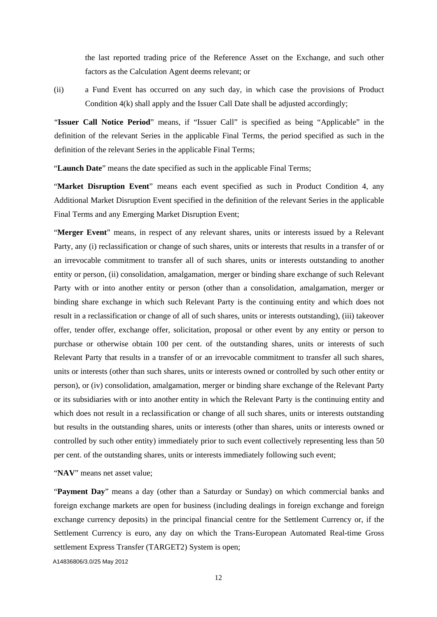the last reported trading price of the Reference Asset on the Exchange, and such other factors as the Calculation Agent deems relevant; or

(ii) a Fund Event has occurred on any such day, in which case the provisions of Product Condition 4(k) shall apply and the Issuer Call Date shall be adjusted accordingly;

"**Issuer Call Notice Period**" means, if "Issuer Call" is specified as being "Applicable" in the definition of the relevant Series in the applicable Final Terms, the period specified as such in the definition of the relevant Series in the applicable Final Terms;

"**Launch Date**" means the date specified as such in the applicable Final Terms;

"**Market Disruption Event**" means each event specified as such in Product Condition 4, any Additional Market Disruption Event specified in the definition of the relevant Series in the applicable Final Terms and any Emerging Market Disruption Event;

"**Merger Event**" means, in respect of any relevant shares, units or interests issued by a Relevant Party, any (i) reclassification or change of such shares, units or interests that results in a transfer of or an irrevocable commitment to transfer all of such shares, units or interests outstanding to another entity or person, (ii) consolidation, amalgamation, merger or binding share exchange of such Relevant Party with or into another entity or person (other than a consolidation, amalgamation, merger or binding share exchange in which such Relevant Party is the continuing entity and which does not result in a reclassification or change of all of such shares, units or interests outstanding), (iii) takeover offer, tender offer, exchange offer, solicitation, proposal or other event by any entity or person to purchase or otherwise obtain 100 per cent. of the outstanding shares, units or interests of such Relevant Party that results in a transfer of or an irrevocable commitment to transfer all such shares, units or interests (other than such shares, units or interests owned or controlled by such other entity or person), or (iv) consolidation, amalgamation, merger or binding share exchange of the Relevant Party or its subsidiaries with or into another entity in which the Relevant Party is the continuing entity and which does not result in a reclassification or change of all such shares, units or interests outstanding but results in the outstanding shares, units or interests (other than shares, units or interests owned or controlled by such other entity) immediately prior to such event collectively representing less than 50 per cent. of the outstanding shares, units or interests immediately following such event;

"**NAV**" means net asset value;

"**Payment Day**" means a day (other than a Saturday or Sunday) on which commercial banks and foreign exchange markets are open for business (including dealings in foreign exchange and foreign exchange currency deposits) in the principal financial centre for the Settlement Currency or, if the Settlement Currency is euro, any day on which the Trans-European Automated Real-time Gross settlement Express Transfer (TARGET2) System is open;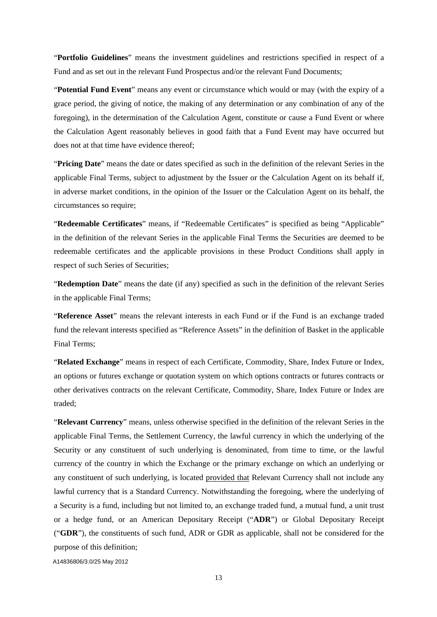"**Portfolio Guidelines**" means the investment guidelines and restrictions specified in respect of a Fund and as set out in the relevant Fund Prospectus and/or the relevant Fund Documents;

"**Potential Fund Event**" means any event or circumstance which would or may (with the expiry of a grace period, the giving of notice, the making of any determination or any combination of any of the foregoing), in the determination of the Calculation Agent, constitute or cause a Fund Event or where the Calculation Agent reasonably believes in good faith that a Fund Event may have occurred but does not at that time have evidence thereof;

"**Pricing Date**" means the date or dates specified as such in the definition of the relevant Series in the applicable Final Terms, subject to adjustment by the Issuer or the Calculation Agent on its behalf if, in adverse market conditions, in the opinion of the Issuer or the Calculation Agent on its behalf, the circumstances so require;

"**Redeemable Certificates**" means, if "Redeemable Certificates" is specified as being "Applicable" in the definition of the relevant Series in the applicable Final Terms the Securities are deemed to be redeemable certificates and the applicable provisions in these Product Conditions shall apply in respect of such Series of Securities;

"**Redemption Date**" means the date (if any) specified as such in the definition of the relevant Series in the applicable Final Terms;

"**Reference Asset**" means the relevant interests in each Fund or if the Fund is an exchange traded fund the relevant interests specified as "Reference Assets" in the definition of Basket in the applicable Final Terms;

"**Related Exchange**" means in respect of each Certificate, Commodity, Share, Index Future or Index, an options or futures exchange or quotation system on which options contracts or futures contracts or other derivatives contracts on the relevant Certificate, Commodity, Share, Index Future or Index are traded;

"**Relevant Currency**" means, unless otherwise specified in the definition of the relevant Series in the applicable Final Terms, the Settlement Currency, the lawful currency in which the underlying of the Security or any constituent of such underlying is denominated, from time to time, or the lawful currency of the country in which the Exchange or the primary exchange on which an underlying or any constituent of such underlying, is located provided that Relevant Currency shall not include any lawful currency that is a Standard Currency. Notwithstanding the foregoing, where the underlying of a Security is a fund, including but not limited to, an exchange traded fund, a mutual fund, a unit trust or a hedge fund, or an American Depositary Receipt ("**ADR**") or Global Depositary Receipt ("**GDR**"), the constituents of such fund, ADR or GDR as applicable, shall not be considered for the purpose of this definition;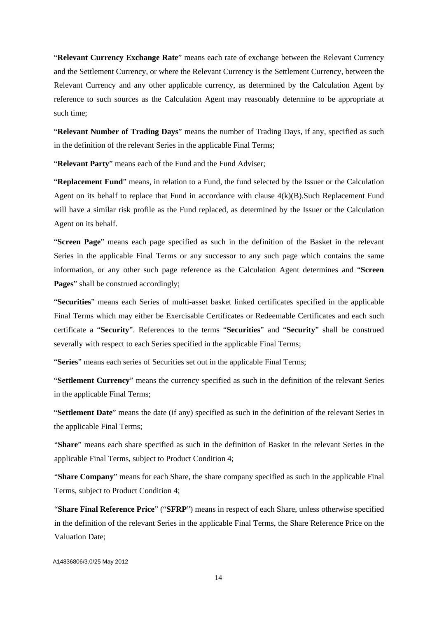"**Relevant Currency Exchange Rate**" means each rate of exchange between the Relevant Currency and the Settlement Currency, or where the Relevant Currency is the Settlement Currency, between the Relevant Currency and any other applicable currency, as determined by the Calculation Agent by reference to such sources as the Calculation Agent may reasonably determine to be appropriate at such time;

"**Relevant Number of Trading Days**" means the number of Trading Days, if any, specified as such in the definition of the relevant Series in the applicable Final Terms;

"**Relevant Party**" means each of the Fund and the Fund Adviser;

"**Replacement Fund**" means, in relation to a Fund, the fund selected by the Issuer or the Calculation Agent on its behalf to replace that Fund in accordance with clause 4(k)(B).Such Replacement Fund will have a similar risk profile as the Fund replaced, as determined by the Issuer or the Calculation Agent on its behalf.

"**Screen Page**" means each page specified as such in the definition of the Basket in the relevant Series in the applicable Final Terms or any successor to any such page which contains the same information, or any other such page reference as the Calculation Agent determines and "**Screen Pages**" shall be construed accordingly;

"**Securities**" means each Series of multi-asset basket linked certificates specified in the applicable Final Terms which may either be Exercisable Certificates or Redeemable Certificates and each such certificate a "**Security**". References to the terms "**Securities**" and "**Security**" shall be construed severally with respect to each Series specified in the applicable Final Terms;

"**Series**" means each series of Securities set out in the applicable Final Terms;

"**Settlement Currency**" means the currency specified as such in the definition of the relevant Series in the applicable Final Terms;

"**Settlement Date**" means the date (if any) specified as such in the definition of the relevant Series in the applicable Final Terms;

"**Share**" means each share specified as such in the definition of Basket in the relevant Series in the applicable Final Terms, subject to Product Condition 4;

"**Share Company**" means for each Share, the share company specified as such in the applicable Final Terms, subject to Product Condition 4;

"**Share Final Reference Price**" ("**SFRP**") means in respect of each Share, unless otherwise specified in the definition of the relevant Series in the applicable Final Terms, the Share Reference Price on the Valuation Date;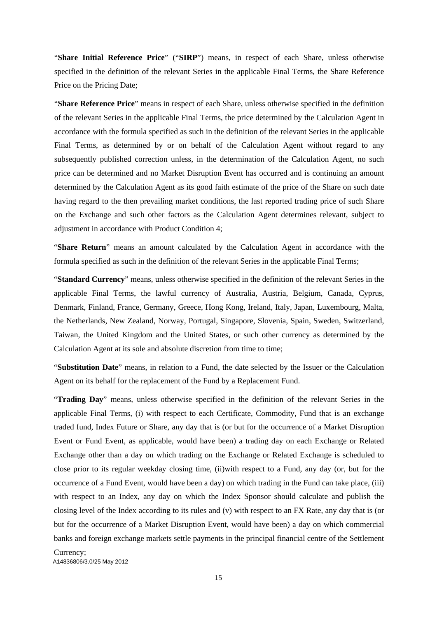"**Share Initial Reference Price**" ("**SIRP**") means, in respect of each Share, unless otherwise specified in the definition of the relevant Series in the applicable Final Terms, the Share Reference Price on the Pricing Date;

"**Share Reference Price**" means in respect of each Share, unless otherwise specified in the definition of the relevant Series in the applicable Final Terms, the price determined by the Calculation Agent in accordance with the formula specified as such in the definition of the relevant Series in the applicable Final Terms, as determined by or on behalf of the Calculation Agent without regard to any subsequently published correction unless, in the determination of the Calculation Agent, no such price can be determined and no Market Disruption Event has occurred and is continuing an amount determined by the Calculation Agent as its good faith estimate of the price of the Share on such date having regard to the then prevailing market conditions, the last reported trading price of such Share on the Exchange and such other factors as the Calculation Agent determines relevant, subject to adjustment in accordance with Product Condition 4;

"**Share Return**" means an amount calculated by the Calculation Agent in accordance with the formula specified as such in the definition of the relevant Series in the applicable Final Terms;

"**Standard Currency**" means, unless otherwise specified in the definition of the relevant Series in the applicable Final Terms, the lawful currency of Australia, Austria, Belgium, Canada, Cyprus, Denmark, Finland, France, Germany, Greece, Hong Kong, Ireland, Italy, Japan, Luxembourg, Malta, the Netherlands, New Zealand, Norway, Portugal, Singapore, Slovenia, Spain, Sweden, Switzerland, Taiwan, the United Kingdom and the United States, or such other currency as determined by the Calculation Agent at its sole and absolute discretion from time to time;

"**Substitution Date**" means, in relation to a Fund, the date selected by the Issuer or the Calculation Agent on its behalf for the replacement of the Fund by a Replacement Fund.

"**Trading Day**" means, unless otherwise specified in the definition of the relevant Series in the applicable Final Terms, (i) with respect to each Certificate, Commodity, Fund that is an exchange traded fund, Index Future or Share, any day that is (or but for the occurrence of a Market Disruption Event or Fund Event, as applicable, would have been) a trading day on each Exchange or Related Exchange other than a day on which trading on the Exchange or Related Exchange is scheduled to close prior to its regular weekday closing time, (ii)with respect to a Fund, any day (or, but for the occurrence of a Fund Event, would have been a day) on which trading in the Fund can take place, (iii) with respect to an Index, any day on which the Index Sponsor should calculate and publish the closing level of the Index according to its rules and (v) with respect to an FX Rate, any day that is (or but for the occurrence of a Market Disruption Event, would have been) a day on which commercial banks and foreign exchange markets settle payments in the principal financial centre of the Settlement

A14836806/3.0/25 May 2012 Currency;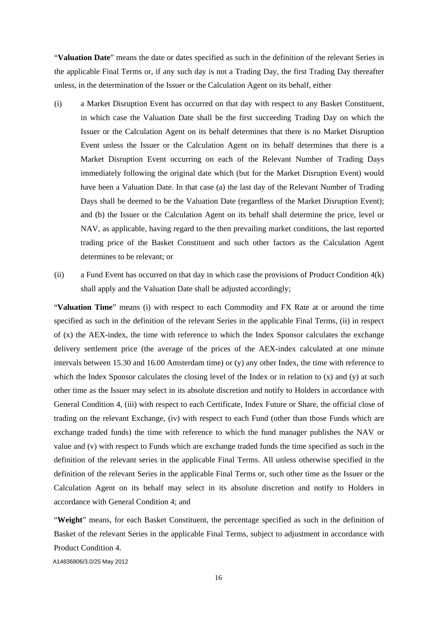"**Valuation Date**" means the date or dates specified as such in the definition of the relevant Series in the applicable Final Terms or, if any such day is not a Trading Day, the first Trading Day thereafter unless, in the determination of the Issuer or the Calculation Agent on its behalf, either

- (i) a Market Disruption Event has occurred on that day with respect to any Basket Constituent, in which case the Valuation Date shall be the first succeeding Trading Day on which the Issuer or the Calculation Agent on its behalf determines that there is no Market Disruption Event unless the Issuer or the Calculation Agent on its behalf determines that there is a Market Disruption Event occurring on each of the Relevant Number of Trading Days immediately following the original date which (but for the Market Disruption Event) would have been a Valuation Date. In that case (a) the last day of the Relevant Number of Trading Days shall be deemed to be the Valuation Date (regardless of the Market Disruption Event); and (b) the Issuer or the Calculation Agent on its behalf shall determine the price, level or NAV, as applicable, having regard to the then prevailing market conditions, the last reported trading price of the Basket Constituent and such other factors as the Calculation Agent determines to be relevant; or
- (ii) a Fund Event has occurred on that day in which case the provisions of Product Condition 4(k) shall apply and the Valuation Date shall be adjusted accordingly;

"**Valuation Time**" means (i) with respect to each Commodity and FX Rate at or around the time specified as such in the definition of the relevant Series in the applicable Final Terms, (ii) in respect of (x) the AEX-index, the time with reference to which the Index Sponsor calculates the exchange delivery settlement price (the average of the prices of the AEX-index calculated at one minute intervals between 15.30 and 16.00 Amsterdam time) or (y) any other Index, the time with reference to which the Index Sponsor calculates the closing level of the Index or in relation to (x) and (y) at such other time as the Issuer may select in its absolute discretion and notify to Holders in accordance with General Condition 4, (iii) with respect to each Certificate, Index Future or Share, the official close of trading on the relevant Exchange, (iv) with respect to each Fund (other than those Funds which are exchange traded funds) the time with reference to which the fund manager publishes the NAV or value and (v) with respect to Funds which are exchange traded funds the time specified as such in the definition of the relevant series in the applicable Final Terms. All unless otherwise specified in the definition of the relevant Series in the applicable Final Terms or, such other time as the Issuer or the Calculation Agent on its behalf may select in its absolute discretion and notify to Holders in accordance with General Condition 4; and

"**Weight**" means, for each Basket Constituent, the percentage specified as such in the definition of Basket of the relevant Series in the applicable Final Terms, subject to adjustment in accordance with Product Condition 4.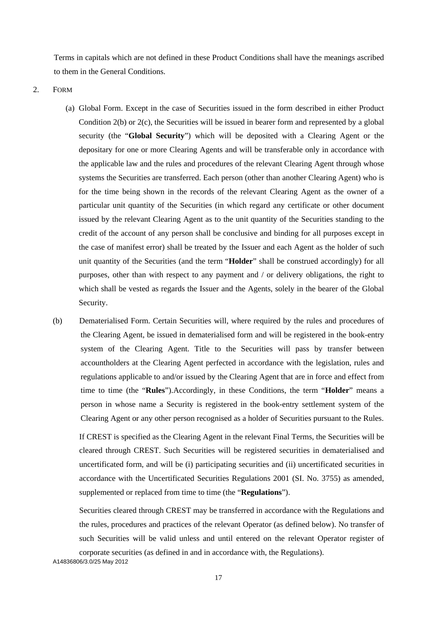Terms in capitals which are not defined in these Product Conditions shall have the meanings ascribed to them in the General Conditions.

2. FORM

- (a) Global Form. Except in the case of Securities issued in the form described in either Product Condition  $2(b)$  or  $2(c)$ , the Securities will be issued in bearer form and represented by a global security (the "**Global Security**") which will be deposited with a Clearing Agent or the depositary for one or more Clearing Agents and will be transferable only in accordance with the applicable law and the rules and procedures of the relevant Clearing Agent through whose systems the Securities are transferred. Each person (other than another Clearing Agent) who is for the time being shown in the records of the relevant Clearing Agent as the owner of a particular unit quantity of the Securities (in which regard any certificate or other document issued by the relevant Clearing Agent as to the unit quantity of the Securities standing to the credit of the account of any person shall be conclusive and binding for all purposes except in the case of manifest error) shall be treated by the Issuer and each Agent as the holder of such unit quantity of the Securities (and the term "**Holder**" shall be construed accordingly) for all purposes, other than with respect to any payment and / or delivery obligations, the right to which shall be vested as regards the Issuer and the Agents, solely in the bearer of the Global Security.
- (b) Dematerialised Form. Certain Securities will, where required by the rules and procedures of the Clearing Agent, be issued in dematerialised form and will be registered in the book-entry system of the Clearing Agent. Title to the Securities will pass by transfer between accountholders at the Clearing Agent perfected in accordance with the legislation, rules and regulations applicable to and/or issued by the Clearing Agent that are in force and effect from time to time (the "**Rules**").Accordingly, in these Conditions, the term "**Holder**" means a person in whose name a Security is registered in the book-entry settlement system of the Clearing Agent or any other person recognised as a holder of Securities pursuant to the Rules.

If CREST is specified as the Clearing Agent in the relevant Final Terms, the Securities will be cleared through CREST. Such Securities will be registered securities in dematerialised and uncertificated form, and will be (i) participating securities and (ii) uncertificated securities in accordance with the Uncertificated Securities Regulations 2001 (SI. No. 3755) as amended, supplemented or replaced from time to time (the "**Regulations**").

Securities cleared through CREST may be transferred in accordance with the Regulations and the rules, procedures and practices of the relevant Operator (as defined below). No transfer of such Securities will be valid unless and until entered on the relevant Operator register of corporate securities (as defined in and in accordance with, the Regulations).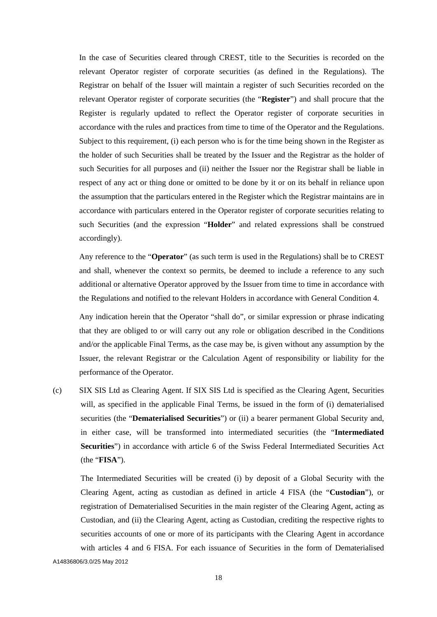In the case of Securities cleared through CREST, title to the Securities is recorded on the relevant Operator register of corporate securities (as defined in the Regulations). The Registrar on behalf of the Issuer will maintain a register of such Securities recorded on the relevant Operator register of corporate securities (the "**Register**") and shall procure that the Register is regularly updated to reflect the Operator register of corporate securities in accordance with the rules and practices from time to time of the Operator and the Regulations. Subject to this requirement, (i) each person who is for the time being shown in the Register as the holder of such Securities shall be treated by the Issuer and the Registrar as the holder of such Securities for all purposes and (ii) neither the Issuer nor the Registrar shall be liable in respect of any act or thing done or omitted to be done by it or on its behalf in reliance upon the assumption that the particulars entered in the Register which the Registrar maintains are in accordance with particulars entered in the Operator register of corporate securities relating to such Securities (and the expression "**Holder**" and related expressions shall be construed accordingly).

Any reference to the "**Operator**" (as such term is used in the Regulations) shall be to CREST and shall, whenever the context so permits, be deemed to include a reference to any such additional or alternative Operator approved by the Issuer from time to time in accordance with the Regulations and notified to the relevant Holders in accordance with General Condition 4.

Any indication herein that the Operator "shall do", or similar expression or phrase indicating that they are obliged to or will carry out any role or obligation described in the Conditions and/or the applicable Final Terms, as the case may be, is given without any assumption by the Issuer, the relevant Registrar or the Calculation Agent of responsibility or liability for the performance of the Operator.

(c) SIX SIS Ltd as Clearing Agent. If SIX SIS Ltd is specified as the Clearing Agent, Securities will, as specified in the applicable Final Terms, be issued in the form of (i) dematerialised securities (the "**Dematerialised Securities**") or (ii) a bearer permanent Global Security and, in either case, will be transformed into intermediated securities (the "**Intermediated Securities**") in accordance with article 6 of the Swiss Federal Intermediated Securities Act (the "**FISA**").

The Intermediated Securities will be created (i) by deposit of a Global Security with the Clearing Agent, acting as custodian as defined in article 4 FISA (the "**Custodian**"), or registration of Dematerialised Securities in the main register of the Clearing Agent, acting as Custodian, and (ii) the Clearing Agent, acting as Custodian, crediting the respective rights to securities accounts of one or more of its participants with the Clearing Agent in accordance with articles 4 and 6 FISA. For each issuance of Securities in the form of Dematerialised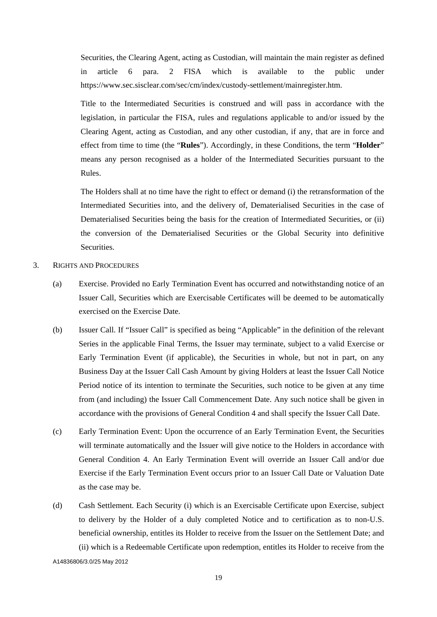Securities, the Clearing Agent, acting as Custodian, will maintain the main register as defined in article 6 para. 2 FISA which is available to the public under https://www.sec.sisclear.com/sec/cm/index/custody-settlement/mainregister.htm.

Title to the Intermediated Securities is construed and will pass in accordance with the legislation, in particular the FISA, rules and regulations applicable to and/or issued by the Clearing Agent, acting as Custodian, and any other custodian, if any, that are in force and effect from time to time (the "**Rules**"). Accordingly, in these Conditions, the term "**Holder**" means any person recognised as a holder of the Intermediated Securities pursuant to the Rules.

The Holders shall at no time have the right to effect or demand (i) the retransformation of the Intermediated Securities into, and the delivery of, Dematerialised Securities in the case of Dematerialised Securities being the basis for the creation of Intermediated Securities, or (ii) the conversion of the Dematerialised Securities or the Global Security into definitive Securities.

- 3. RIGHTS AND PROCEDURES
	- (a) Exercise. Provided no Early Termination Event has occurred and notwithstanding notice of an Issuer Call, Securities which are Exercisable Certificates will be deemed to be automatically exercised on the Exercise Date.
	- (b) Issuer Call. If "Issuer Call" is specified as being "Applicable" in the definition of the relevant Series in the applicable Final Terms, the Issuer may terminate, subject to a valid Exercise or Early Termination Event (if applicable), the Securities in whole, but not in part, on any Business Day at the Issuer Call Cash Amount by giving Holders at least the Issuer Call Notice Period notice of its intention to terminate the Securities, such notice to be given at any time from (and including) the Issuer Call Commencement Date. Any such notice shall be given in accordance with the provisions of General Condition 4 and shall specify the Issuer Call Date.
	- (c) Early Termination Event: Upon the occurrence of an Early Termination Event, the Securities will terminate automatically and the Issuer will give notice to the Holders in accordance with General Condition 4. An Early Termination Event will override an Issuer Call and/or due Exercise if the Early Termination Event occurs prior to an Issuer Call Date or Valuation Date as the case may be.
	- A14836806/3.0/25 May 2012 (d) Cash Settlement. Each Security (i) which is an Exercisable Certificate upon Exercise, subject to delivery by the Holder of a duly completed Notice and to certification as to non-U.S. beneficial ownership, entitles its Holder to receive from the Issuer on the Settlement Date; and (ii) which is a Redeemable Certificate upon redemption, entitles its Holder to receive from the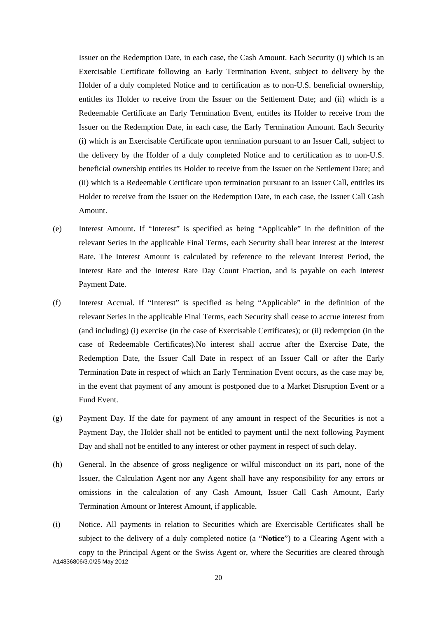Issuer on the Redemption Date, in each case, the Cash Amount. Each Security (i) which is an Exercisable Certificate following an Early Termination Event, subject to delivery by the Holder of a duly completed Notice and to certification as to non-U.S. beneficial ownership, entitles its Holder to receive from the Issuer on the Settlement Date; and (ii) which is a Redeemable Certificate an Early Termination Event, entitles its Holder to receive from the Issuer on the Redemption Date, in each case, the Early Termination Amount. Each Security (i) which is an Exercisable Certificate upon termination pursuant to an Issuer Call, subject to the delivery by the Holder of a duly completed Notice and to certification as to non-U.S. beneficial ownership entitles its Holder to receive from the Issuer on the Settlement Date; and (ii) which is a Redeemable Certificate upon termination pursuant to an Issuer Call, entitles its Holder to receive from the Issuer on the Redemption Date, in each case, the Issuer Call Cash Amount.

- (e) Interest Amount. If "Interest" is specified as being "Applicable" in the definition of the relevant Series in the applicable Final Terms, each Security shall bear interest at the Interest Rate. The Interest Amount is calculated by reference to the relevant Interest Period, the Interest Rate and the Interest Rate Day Count Fraction, and is payable on each Interest Payment Date.
- (f) Interest Accrual. If "Interest" is specified as being "Applicable" in the definition of the relevant Series in the applicable Final Terms, each Security shall cease to accrue interest from (and including) (i) exercise (in the case of Exercisable Certificates); or (ii) redemption (in the case of Redeemable Certificates).No interest shall accrue after the Exercise Date, the Redemption Date, the Issuer Call Date in respect of an Issuer Call or after the Early Termination Date in respect of which an Early Termination Event occurs, as the case may be, in the event that payment of any amount is postponed due to a Market Disruption Event or a Fund Event.
- (g) Payment Day. If the date for payment of any amount in respect of the Securities is not a Payment Day, the Holder shall not be entitled to payment until the next following Payment Day and shall not be entitled to any interest or other payment in respect of such delay.
- (h) General. In the absence of gross negligence or wilful misconduct on its part, none of the Issuer, the Calculation Agent nor any Agent shall have any responsibility for any errors or omissions in the calculation of any Cash Amount, Issuer Call Cash Amount, Early Termination Amount or Interest Amount, if applicable.
- A14836806/3.0/25 May 2012 (i) Notice. All payments in relation to Securities which are Exercisable Certificates shall be subject to the delivery of a duly completed notice (a "**Notice**") to a Clearing Agent with a copy to the Principal Agent or the Swiss Agent or, where the Securities are cleared through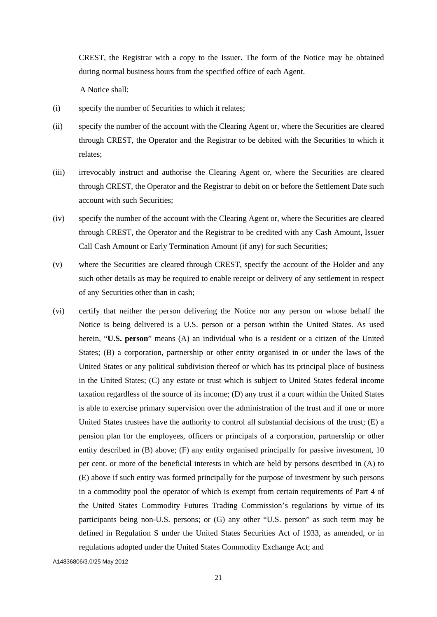CREST, the Registrar with a copy to the Issuer. The form of the Notice may be obtained during normal business hours from the specified office of each Agent.

A Notice shall:

- (i) specify the number of Securities to which it relates;
- (ii) specify the number of the account with the Clearing Agent or, where the Securities are cleared through CREST, the Operator and the Registrar to be debited with the Securities to which it relates;
- (iii) irrevocably instruct and authorise the Clearing Agent or, where the Securities are cleared through CREST, the Operator and the Registrar to debit on or before the Settlement Date such account with such Securities;
- (iv) specify the number of the account with the Clearing Agent or, where the Securities are cleared through CREST, the Operator and the Registrar to be credited with any Cash Amount, Issuer Call Cash Amount or Early Termination Amount (if any) for such Securities;
- (v) where the Securities are cleared through CREST, specify the account of the Holder and any such other details as may be required to enable receipt or delivery of any settlement in respect of any Securities other than in cash;
- (vi) certify that neither the person delivering the Notice nor any person on whose behalf the Notice is being delivered is a U.S. person or a person within the United States. As used herein, "**U.S. person**" means (A) an individual who is a resident or a citizen of the United States; (B) a corporation, partnership or other entity organised in or under the laws of the United States or any political subdivision thereof or which has its principal place of business in the United States; (C) any estate or trust which is subject to United States federal income taxation regardless of the source of its income; (D) any trust if a court within the United States is able to exercise primary supervision over the administration of the trust and if one or more United States trustees have the authority to control all substantial decisions of the trust; (E) a pension plan for the employees, officers or principals of a corporation, partnership or other entity described in (B) above; (F) any entity organised principally for passive investment, 10 per cent. or more of the beneficial interests in which are held by persons described in (A) to (E) above if such entity was formed principally for the purpose of investment by such persons in a commodity pool the operator of which is exempt from certain requirements of Part 4 of the United States Commodity Futures Trading Commission's regulations by virtue of its participants being non-U.S. persons; or (G) any other "U.S. person" as such term may be defined in Regulation S under the United States Securities Act of 1933, as amended, or in regulations adopted under the United States Commodity Exchange Act; and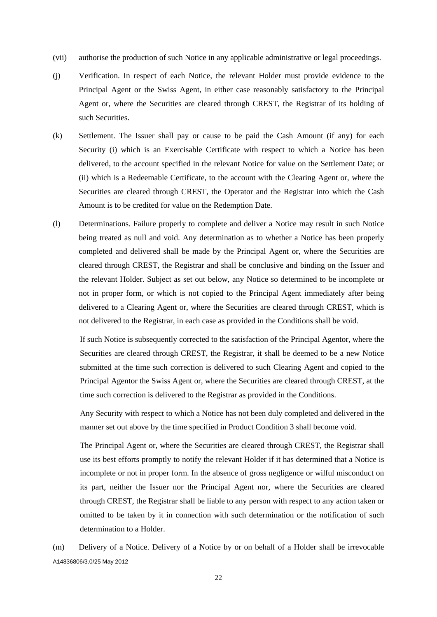- (vii) authorise the production of such Notice in any applicable administrative or legal proceedings.
- (j) Verification. In respect of each Notice, the relevant Holder must provide evidence to the Principal Agent or the Swiss Agent, in either case reasonably satisfactory to the Principal Agent or, where the Securities are cleared through CREST, the Registrar of its holding of such Securities.
- (k) Settlement. The Issuer shall pay or cause to be paid the Cash Amount (if any) for each Security (i) which is an Exercisable Certificate with respect to which a Notice has been delivered, to the account specified in the relevant Notice for value on the Settlement Date; or (ii) which is a Redeemable Certificate, to the account with the Clearing Agent or, where the Securities are cleared through CREST, the Operator and the Registrar into which the Cash Amount is to be credited for value on the Redemption Date.
- (l) Determinations. Failure properly to complete and deliver a Notice may result in such Notice being treated as null and void. Any determination as to whether a Notice has been properly completed and delivered shall be made by the Principal Agent or, where the Securities are cleared through CREST, the Registrar and shall be conclusive and binding on the Issuer and the relevant Holder. Subject as set out below, any Notice so determined to be incomplete or not in proper form, or which is not copied to the Principal Agent immediately after being delivered to a Clearing Agent or, where the Securities are cleared through CREST, which is not delivered to the Registrar, in each case as provided in the Conditions shall be void.

If such Notice is subsequently corrected to the satisfaction of the Principal Agentor, where the Securities are cleared through CREST, the Registrar, it shall be deemed to be a new Notice submitted at the time such correction is delivered to such Clearing Agent and copied to the Principal Agentor the Swiss Agent or, where the Securities are cleared through CREST, at the time such correction is delivered to the Registrar as provided in the Conditions.

Any Security with respect to which a Notice has not been duly completed and delivered in the manner set out above by the time specified in Product Condition 3 shall become void.

The Principal Agent or, where the Securities are cleared through CREST, the Registrar shall use its best efforts promptly to notify the relevant Holder if it has determined that a Notice is incomplete or not in proper form. In the absence of gross negligence or wilful misconduct on its part, neither the Issuer nor the Principal Agent nor, where the Securities are cleared through CREST, the Registrar shall be liable to any person with respect to any action taken or omitted to be taken by it in connection with such determination or the notification of such determination to a Holder.

A14836806/3.0/25 May 2012 (m) Delivery of a Notice. Delivery of a Notice by or on behalf of a Holder shall be irrevocable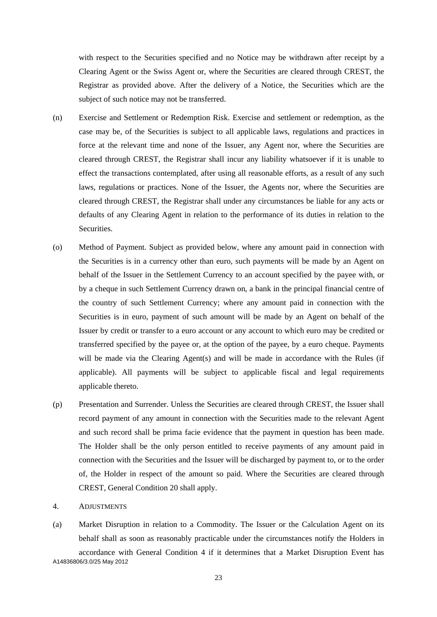with respect to the Securities specified and no Notice may be withdrawn after receipt by a Clearing Agent or the Swiss Agent or, where the Securities are cleared through CREST, the Registrar as provided above. After the delivery of a Notice, the Securities which are the subject of such notice may not be transferred.

- (n) Exercise and Settlement or Redemption Risk. Exercise and settlement or redemption, as the case may be, of the Securities is subject to all applicable laws, regulations and practices in force at the relevant time and none of the Issuer, any Agent nor, where the Securities are cleared through CREST, the Registrar shall incur any liability whatsoever if it is unable to effect the transactions contemplated, after using all reasonable efforts, as a result of any such laws, regulations or practices. None of the Issuer, the Agents nor, where the Securities are cleared through CREST, the Registrar shall under any circumstances be liable for any acts or defaults of any Clearing Agent in relation to the performance of its duties in relation to the Securities.
- (o) Method of Payment. Subject as provided below, where any amount paid in connection with the Securities is in a currency other than euro, such payments will be made by an Agent on behalf of the Issuer in the Settlement Currency to an account specified by the payee with, or by a cheque in such Settlement Currency drawn on, a bank in the principal financial centre of the country of such Settlement Currency; where any amount paid in connection with the Securities is in euro, payment of such amount will be made by an Agent on behalf of the Issuer by credit or transfer to a euro account or any account to which euro may be credited or transferred specified by the payee or, at the option of the payee, by a euro cheque. Payments will be made via the Clearing Agent(s) and will be made in accordance with the Rules (if applicable). All payments will be subject to applicable fiscal and legal requirements applicable thereto.
- (p) Presentation and Surrender. Unless the Securities are cleared through CREST, the Issuer shall record payment of any amount in connection with the Securities made to the relevant Agent and such record shall be prima facie evidence that the payment in question has been made. The Holder shall be the only person entitled to receive payments of any amount paid in connection with the Securities and the Issuer will be discharged by payment to, or to the order of, the Holder in respect of the amount so paid. Where the Securities are cleared through CREST, General Condition 20 shall apply.
- 4. ADJUSTMENTS
- A14836806/3.0/25 May 2012 (a) Market Disruption in relation to a Commodity. The Issuer or the Calculation Agent on its behalf shall as soon as reasonably practicable under the circumstances notify the Holders in accordance with General Condition 4 if it determines that a Market Disruption Event has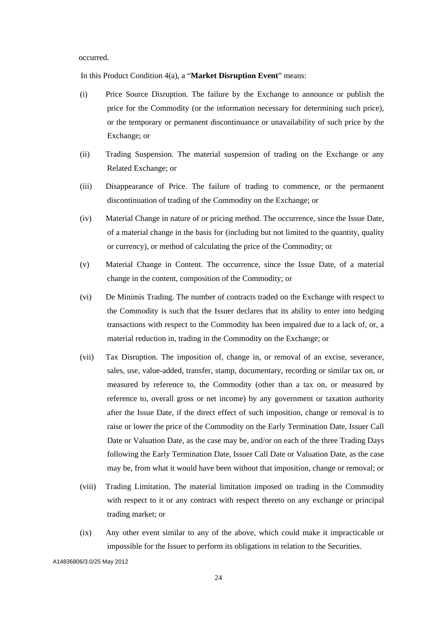occurred.

In this Product Condition 4(a), a "**Market Disruption Event**" means:

- (i) Price Source Disruption. The failure by the Exchange to announce or publish the price for the Commodity (or the information necessary for determining such price), or the temporary or permanent discontinuance or unavailability of such price by the Exchange; or
- (ii) Trading Suspension. The material suspension of trading on the Exchange or any Related Exchange; or
- (iii) Disappearance of Price. The failure of trading to commence, or the permanent discontinuation of trading of the Commodity on the Exchange; or
- (iv) Material Change in nature of or pricing method. The occurrence, since the Issue Date, of a material change in the basis for (including but not limited to the quantity, quality or currency), or method of calculating the price of the Commodity; or
- (v) Material Change in Content. The occurrence, since the Issue Date, of a material change in the content, composition of the Commodity; or
- (vi) De Minimis Trading. The number of contracts traded on the Exchange with respect to the Commodity is such that the Issuer declares that its ability to enter into hedging transactions with respect to the Commodity has been impaired due to a lack of, or, a material reduction in, trading in the Commodity on the Exchange; or
- (vii) Tax Disruption. The imposition of, change in, or removal of an excise, severance, sales, use, value-added, transfer, stamp, documentary, recording or similar tax on, or measured by reference to, the Commodity (other than a tax on, or measured by reference to, overall gross or net income) by any government or taxation authority after the Issue Date, if the direct effect of such imposition, change or removal is to raise or lower the price of the Commodity on the Early Termination Date, Issuer Call Date or Valuation Date, as the case may be, and/or on each of the three Trading Days following the Early Termination Date, Issuer Call Date or Valuation Date, as the case may be, from what it would have been without that imposition, change or removal; or
- (viii) Trading Limitation. The material limitation imposed on trading in the Commodity with respect to it or any contract with respect thereto on any exchange or principal trading market; or
- (ix) Any other event similar to any of the above, which could make it impracticable or impossible for the Issuer to perform its obligations in relation to the Securities.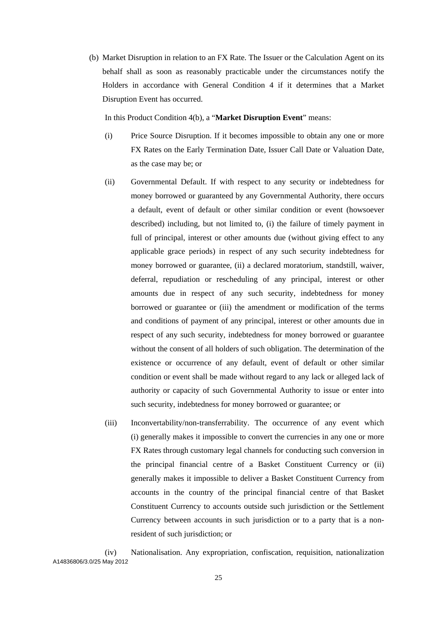(b) Market Disruption in relation to an FX Rate. The Issuer or the Calculation Agent on its behalf shall as soon as reasonably practicable under the circumstances notify the Holders in accordance with General Condition 4 if it determines that a Market Disruption Event has occurred.

In this Product Condition 4(b), a "**Market Disruption Event**" means:

- (i) Price Source Disruption. If it becomes impossible to obtain any one or more FX Rates on the Early Termination Date, Issuer Call Date or Valuation Date, as the case may be; or
- (ii) Governmental Default. If with respect to any security or indebtedness for money borrowed or guaranteed by any Governmental Authority, there occurs a default, event of default or other similar condition or event (howsoever described) including, but not limited to, (i) the failure of timely payment in full of principal, interest or other amounts due (without giving effect to any applicable grace periods) in respect of any such security indebtedness for money borrowed or guarantee, (ii) a declared moratorium, standstill, waiver, deferral, repudiation or rescheduling of any principal, interest or other amounts due in respect of any such security, indebtedness for money borrowed or guarantee or (iii) the amendment or modification of the terms and conditions of payment of any principal, interest or other amounts due in respect of any such security, indebtedness for money borrowed or guarantee without the consent of all holders of such obligation. The determination of the existence or occurrence of any default, event of default or other similar condition or event shall be made without regard to any lack or alleged lack of authority or capacity of such Governmental Authority to issue or enter into such security, indebtedness for money borrowed or guarantee; or
- (iii) Inconvertability/non-transferrability. The occurrence of any event which (i) generally makes it impossible to convert the currencies in any one or more FX Rates through customary legal channels for conducting such conversion in the principal financial centre of a Basket Constituent Currency or (ii) generally makes it impossible to deliver a Basket Constituent Currency from accounts in the country of the principal financial centre of that Basket Constituent Currency to accounts outside such jurisdiction or the Settlement Currency between accounts in such jurisdiction or to a party that is a nonresident of such jurisdiction; or

A14836806/3.0/25 May 2012 (iv) Nationalisation. Any expropriation, confiscation, requisition, nationalization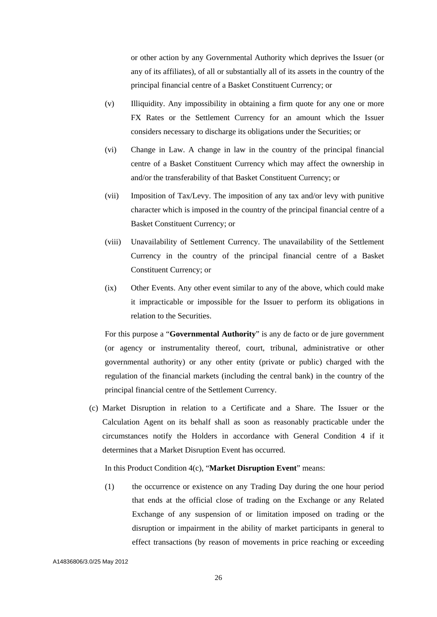or other action by any Governmental Authority which deprives the Issuer (or any of its affiliates), of all or substantially all of its assets in the country of the principal financial centre of a Basket Constituent Currency; or

- (v) Illiquidity. Any impossibility in obtaining a firm quote for any one or more FX Rates or the Settlement Currency for an amount which the Issuer considers necessary to discharge its obligations under the Securities; or
- (vi) Change in Law. A change in law in the country of the principal financial centre of a Basket Constituent Currency which may affect the ownership in and/or the transferability of that Basket Constituent Currency; or
- (vii) Imposition of Tax/Levy. The imposition of any tax and/or levy with punitive character which is imposed in the country of the principal financial centre of a Basket Constituent Currency; or
- (viii) Unavailability of Settlement Currency. The unavailability of the Settlement Currency in the country of the principal financial centre of a Basket Constituent Currency; or
- (ix) Other Events. Any other event similar to any of the above, which could make it impracticable or impossible for the Issuer to perform its obligations in relation to the Securities.

For this purpose a "**Governmental Authority**" is any de facto or de jure government (or agency or instrumentality thereof, court, tribunal, administrative or other governmental authority) or any other entity (private or public) charged with the regulation of the financial markets (including the central bank) in the country of the principal financial centre of the Settlement Currency.

(c) Market Disruption in relation to a Certificate and a Share. The Issuer or the Calculation Agent on its behalf shall as soon as reasonably practicable under the circumstances notify the Holders in accordance with General Condition 4 if it determines that a Market Disruption Event has occurred.

In this Product Condition 4(c), "**Market Disruption Event**" means:

(1) the occurrence or existence on any Trading Day during the one hour period that ends at the official close of trading on the Exchange or any Related Exchange of any suspension of or limitation imposed on trading or the disruption or impairment in the ability of market participants in general to effect transactions (by reason of movements in price reaching or exceeding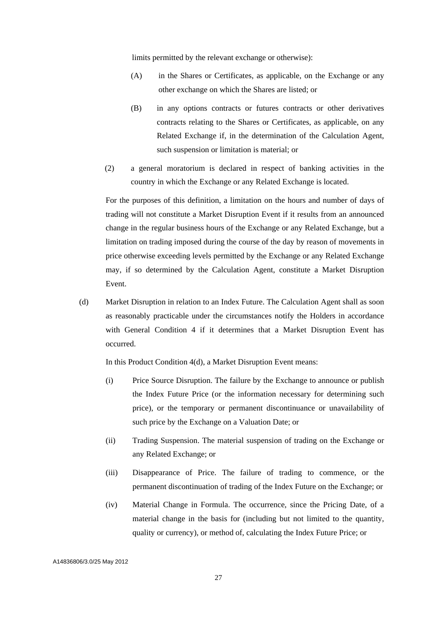limits permitted by the relevant exchange or otherwise):

- (A) in the Shares or Certificates, as applicable, on the Exchange or any other exchange on which the Shares are listed; or
- (B) in any options contracts or futures contracts or other derivatives contracts relating to the Shares or Certificates, as applicable, on any Related Exchange if, in the determination of the Calculation Agent, such suspension or limitation is material; or
- (2) a general moratorium is declared in respect of banking activities in the country in which the Exchange or any Related Exchange is located.

For the purposes of this definition, a limitation on the hours and number of days of trading will not constitute a Market Disruption Event if it results from an announced change in the regular business hours of the Exchange or any Related Exchange, but a limitation on trading imposed during the course of the day by reason of movements in price otherwise exceeding levels permitted by the Exchange or any Related Exchange may, if so determined by the Calculation Agent, constitute a Market Disruption Event.

(d) Market Disruption in relation to an Index Future. The Calculation Agent shall as soon as reasonably practicable under the circumstances notify the Holders in accordance with General Condition 4 if it determines that a Market Disruption Event has occurred.

In this Product Condition 4(d), a Market Disruption Event means:

- (i) Price Source Disruption. The failure by the Exchange to announce or publish the Index Future Price (or the information necessary for determining such price), or the temporary or permanent discontinuance or unavailability of such price by the Exchange on a Valuation Date; or
- (ii) Trading Suspension. The material suspension of trading on the Exchange or any Related Exchange; or
- (iii) Disappearance of Price. The failure of trading to commence, or the permanent discontinuation of trading of the Index Future on the Exchange; or
- (iv) Material Change in Formula. The occurrence, since the Pricing Date, of a material change in the basis for (including but not limited to the quantity, quality or currency), or method of, calculating the Index Future Price; or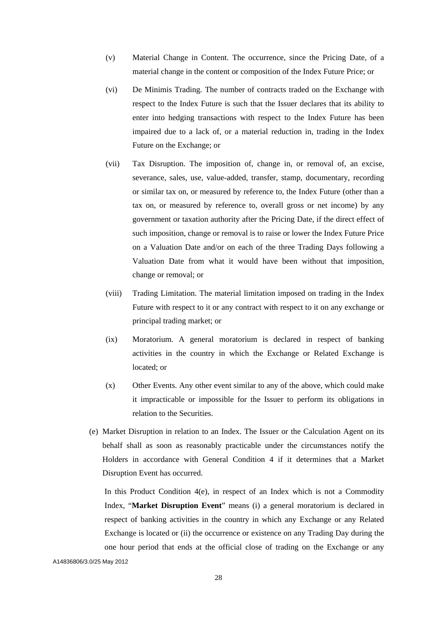- (v) Material Change in Content. The occurrence, since the Pricing Date, of a material change in the content or composition of the Index Future Price; or
- (vi) De Minimis Trading. The number of contracts traded on the Exchange with respect to the Index Future is such that the Issuer declares that its ability to enter into hedging transactions with respect to the Index Future has been impaired due to a lack of, or a material reduction in, trading in the Index Future on the Exchange; or
- (vii) Tax Disruption. The imposition of, change in, or removal of, an excise, severance, sales, use, value-added, transfer, stamp, documentary, recording or similar tax on, or measured by reference to, the Index Future (other than a tax on, or measured by reference to, overall gross or net income) by any government or taxation authority after the Pricing Date, if the direct effect of such imposition, change or removal is to raise or lower the Index Future Price on a Valuation Date and/or on each of the three Trading Days following a Valuation Date from what it would have been without that imposition, change or removal; or
- (viii) Trading Limitation. The material limitation imposed on trading in the Index Future with respect to it or any contract with respect to it on any exchange or principal trading market; or
- (ix) Moratorium. A general moratorium is declared in respect of banking activities in the country in which the Exchange or Related Exchange is located; or
- (x) Other Events. Any other event similar to any of the above, which could make it impracticable or impossible for the Issuer to perform its obligations in relation to the Securities.
- (e) Market Disruption in relation to an Index. The Issuer or the Calculation Agent on its behalf shall as soon as reasonably practicable under the circumstances notify the Holders in accordance with General Condition 4 if it determines that a Market Disruption Event has occurred.

In this Product Condition 4(e), in respect of an Index which is not a Commodity Index, "**Market Disruption Event**" means (i) a general moratorium is declared in respect of banking activities in the country in which any Exchange or any Related Exchange is located or (ii) the occurrence or existence on any Trading Day during the one hour period that ends at the official close of trading on the Exchange or any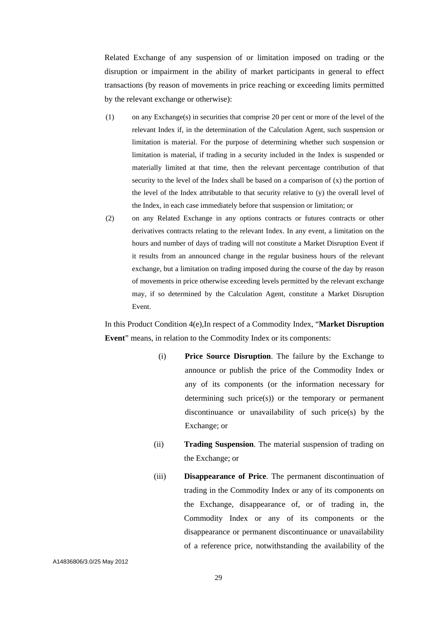Related Exchange of any suspension of or limitation imposed on trading or the disruption or impairment in the ability of market participants in general to effect transactions (by reason of movements in price reaching or exceeding limits permitted by the relevant exchange or otherwise):

- (1) on any Exchange(s) in securities that comprise 20 per cent or more of the level of the relevant Index if, in the determination of the Calculation Agent, such suspension or limitation is material. For the purpose of determining whether such suspension or limitation is material, if trading in a security included in the Index is suspended or materially limited at that time, then the relevant percentage contribution of that security to the level of the Index shall be based on a comparison of (x) the portion of the level of the Index attributable to that security relative to (y) the overall level of the Index, in each case immediately before that suspension or limitation; or
- (2) on any Related Exchange in any options contracts or futures contracts or other derivatives contracts relating to the relevant Index. In any event, a limitation on the hours and number of days of trading will not constitute a Market Disruption Event if it results from an announced change in the regular business hours of the relevant exchange, but a limitation on trading imposed during the course of the day by reason of movements in price otherwise exceeding levels permitted by the relevant exchange may, if so determined by the Calculation Agent, constitute a Market Disruption Event.

In this Product Condition 4(e),In respect of a Commodity Index, "**Market Disruption Event**" means, in relation to the Commodity Index or its components:

- (i) **Price Source Disruption**. The failure by the Exchange to announce or publish the price of the Commodity Index or any of its components (or the information necessary for determining such price(s)) or the temporary or permanent discontinuance or unavailability of such price(s) by the Exchange; or
- (ii) **Trading Suspension**. The material suspension of trading on the Exchange; or
- (iii) **Disappearance of Price**. The permanent discontinuation of trading in the Commodity Index or any of its components on the Exchange, disappearance of, or of trading in, the Commodity Index or any of its components or the disappearance or permanent discontinuance or unavailability of a reference price, notwithstanding the availability of the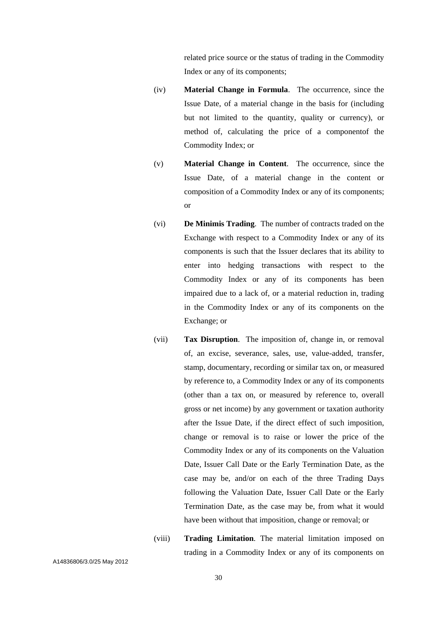related price source or the status of trading in the Commodity Index or any of its components;

- (iv) **Material Change in Formula**. The occurrence, since the Issue Date, of a material change in the basis for (including but not limited to the quantity, quality or currency), or method of, calculating the price of a componentof the Commodity Index; or
- (v) **Material Change in Content**. The occurrence, since the Issue Date, of a material change in the content or composition of a Commodity Index or any of its components; or
- (vi) **De Minimis Trading**. The number of contracts traded on the Exchange with respect to a Commodity Index or any of its components is such that the Issuer declares that its ability to enter into hedging transactions with respect to the Commodity Index or any of its components has been impaired due to a lack of, or a material reduction in, trading in the Commodity Index or any of its components on the Exchange; or
- (vii) **Tax Disruption**. The imposition of, change in, or removal of, an excise, severance, sales, use, value-added, transfer, stamp, documentary, recording or similar tax on, or measured by reference to, a Commodity Index or any of its components (other than a tax on, or measured by reference to, overall gross or net income) by any government or taxation authority after the Issue Date, if the direct effect of such imposition, change or removal is to raise or lower the price of the Commodity Index or any of its components on the Valuation Date, Issuer Call Date or the Early Termination Date, as the case may be, and/or on each of the three Trading Days following the Valuation Date, Issuer Call Date or the Early Termination Date, as the case may be, from what it would have been without that imposition, change or removal; or
	- (viii) **Trading Limitation**. The material limitation imposed on trading in a Commodity Index or any of its components on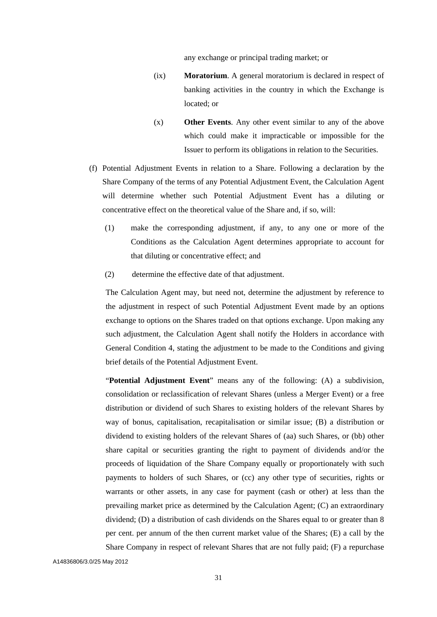any exchange or principal trading market; or

- (ix) **Moratorium**. A general moratorium is declared in respect of banking activities in the country in which the Exchange is located; or
- (x) **Other Events**. Any other event similar to any of the above which could make it impracticable or impossible for the Issuer to perform its obligations in relation to the Securities.
- (f) Potential Adjustment Events in relation to a Share. Following a declaration by the Share Company of the terms of any Potential Adjustment Event, the Calculation Agent will determine whether such Potential Adjustment Event has a diluting or concentrative effect on the theoretical value of the Share and, if so, will:
	- (1) make the corresponding adjustment, if any, to any one or more of the Conditions as the Calculation Agent determines appropriate to account for that diluting or concentrative effect; and
	- (2) determine the effective date of that adjustment.

The Calculation Agent may, but need not, determine the adjustment by reference to the adjustment in respect of such Potential Adjustment Event made by an options exchange to options on the Shares traded on that options exchange. Upon making any such adjustment, the Calculation Agent shall notify the Holders in accordance with General Condition 4, stating the adjustment to be made to the Conditions and giving brief details of the Potential Adjustment Event.

"**Potential Adjustment Event**" means any of the following: (A) a subdivision, consolidation or reclassification of relevant Shares (unless a Merger Event) or a free distribution or dividend of such Shares to existing holders of the relevant Shares by way of bonus, capitalisation, recapitalisation or similar issue; (B) a distribution or dividend to existing holders of the relevant Shares of (aa) such Shares, or (bb) other share capital or securities granting the right to payment of dividends and/or the proceeds of liquidation of the Share Company equally or proportionately with such payments to holders of such Shares, or (cc) any other type of securities, rights or warrants or other assets, in any case for payment (cash or other) at less than the prevailing market price as determined by the Calculation Agent; (C) an extraordinary dividend; (D) a distribution of cash dividends on the Shares equal to or greater than 8 per cent. per annum of the then current market value of the Shares; (E) a call by the Share Company in respect of relevant Shares that are not fully paid; (F) a repurchase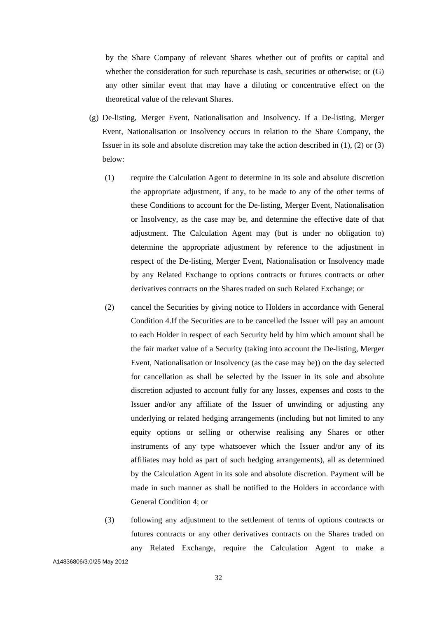by the Share Company of relevant Shares whether out of profits or capital and whether the consideration for such repurchase is cash, securities or otherwise; or (G) any other similar event that may have a diluting or concentrative effect on the theoretical value of the relevant Shares.

- (g) De-listing, Merger Event, Nationalisation and Insolvency. If a De-listing, Merger Event, Nationalisation or Insolvency occurs in relation to the Share Company, the Issuer in its sole and absolute discretion may take the action described in (1), (2) or (3) below:
	- (1) require the Calculation Agent to determine in its sole and absolute discretion the appropriate adjustment, if any, to be made to any of the other terms of these Conditions to account for the De-listing, Merger Event, Nationalisation or Insolvency, as the case may be, and determine the effective date of that adjustment. The Calculation Agent may (but is under no obligation to) determine the appropriate adjustment by reference to the adjustment in respect of the De-listing, Merger Event, Nationalisation or Insolvency made by any Related Exchange to options contracts or futures contracts or other derivatives contracts on the Shares traded on such Related Exchange; or
	- (2) cancel the Securities by giving notice to Holders in accordance with General Condition 4.If the Securities are to be cancelled the Issuer will pay an amount to each Holder in respect of each Security held by him which amount shall be the fair market value of a Security (taking into account the De-listing, Merger Event, Nationalisation or Insolvency (as the case may be)) on the day selected for cancellation as shall be selected by the Issuer in its sole and absolute discretion adjusted to account fully for any losses, expenses and costs to the Issuer and/or any affiliate of the Issuer of unwinding or adjusting any underlying or related hedging arrangements (including but not limited to any equity options or selling or otherwise realising any Shares or other instruments of any type whatsoever which the Issuer and/or any of its affiliates may hold as part of such hedging arrangements), all as determined by the Calculation Agent in its sole and absolute discretion. Payment will be made in such manner as shall be notified to the Holders in accordance with General Condition 4; or
	- (3) following any adjustment to the settlement of terms of options contracts or futures contracts or any other derivatives contracts on the Shares traded on any Related Exchange, require the Calculation Agent to make a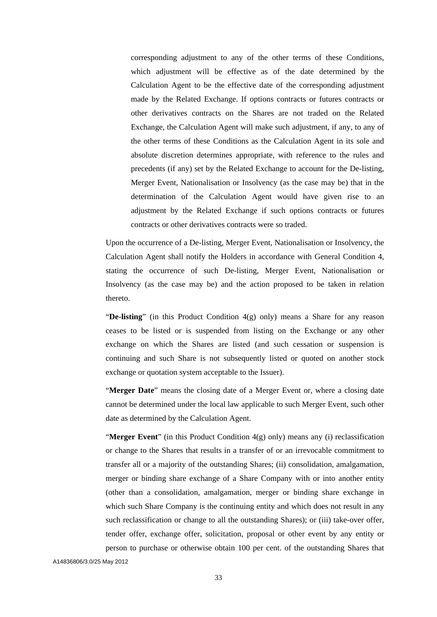corresponding adjustment to any of the other terms of these Conditions, which adjustment will be effective as of the date determined by the Calculation Agent to be the effective date of the corresponding adjustment made by the Related Exchange. If options contracts or futures contracts or other derivatives contracts on the Shares are not traded on the Related Exchange, the Calculation Agent will make such adjustment, if any, to any of the other terms of these Conditions as the Calculation Agent in its sole and absolute discretion determines appropriate, with reference to the rules and precedents (if any) set by the Related Exchange to account for the De-listing, Merger Event, Nationalisation or Insolvency (as the case may be) that in the determination of the Calculation Agent would have given rise to an adjustment by the Related Exchange if such options contracts or futures contracts or other derivatives contracts were so traded.

Upon the occurrence of a De-listing, Merger Event, Nationalisation or Insolvency, the Calculation Agent shall notify the Holders in accordance with General Condition 4, stating the occurrence of such De-listing, Merger Event, Nationalisation or Insolvency (as the case may be) and the action proposed to be taken in relation thereto.

"**De-listing**" (in this Product Condition 4(g) only) means a Share for any reason ceases to be listed or is suspended from listing on the Exchange or any other exchange on which the Shares are listed (and such cessation or suspension is continuing and such Share is not subsequently listed or quoted on another stock exchange or quotation system acceptable to the Issuer).

"**Merger Date**" means the closing date of a Merger Event or, where a closing date cannot be determined under the local law applicable to such Merger Event, such other date as determined by the Calculation Agent.

"**Merger Event**" (in this Product Condition 4(g) only) means any (i) reclassification or change to the Shares that results in a transfer of or an irrevocable commitment to transfer all or a majority of the outstanding Shares; (ii) consolidation, amalgamation, merger or binding share exchange of a Share Company with or into another entity (other than a consolidation, amalgamation, merger or binding share exchange in which such Share Company is the continuing entity and which does not result in any such reclassification or change to all the outstanding Shares); or (iii) take-over offer, tender offer, exchange offer, solicitation, proposal or other event by any entity or person to purchase or otherwise obtain 100 per cent. of the outstanding Shares that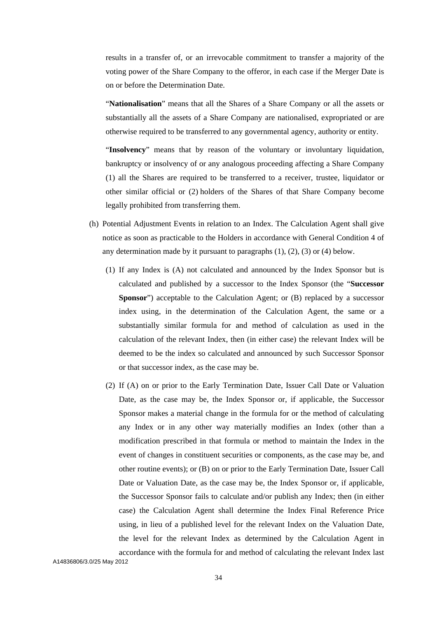results in a transfer of, or an irrevocable commitment to transfer a majority of the voting power of the Share Company to the offeror, in each case if the Merger Date is on or before the Determination Date.

"**Nationalisation**" means that all the Shares of a Share Company or all the assets or substantially all the assets of a Share Company are nationalised, expropriated or are otherwise required to be transferred to any governmental agency, authority or entity.

"**Insolvency**" means that by reason of the voluntary or involuntary liquidation, bankruptcy or insolvency of or any analogous proceeding affecting a Share Company (1) all the Shares are required to be transferred to a receiver, trustee, liquidator or other similar official or (2) holders of the Shares of that Share Company become legally prohibited from transferring them.

- (h) Potential Adjustment Events in relation to an Index. The Calculation Agent shall give notice as soon as practicable to the Holders in accordance with General Condition 4 of any determination made by it pursuant to paragraphs (1), (2), (3) or (4) below.
	- (1) If any Index is (A) not calculated and announced by the Index Sponsor but is calculated and published by a successor to the Index Sponsor (the "**Successor Sponsor**") acceptable to the Calculation Agent; or (B) replaced by a successor index using, in the determination of the Calculation Agent, the same or a substantially similar formula for and method of calculation as used in the calculation of the relevant Index, then (in either case) the relevant Index will be deemed to be the index so calculated and announced by such Successor Sponsor or that successor index, as the case may be.
	- (2) If (A) on or prior to the Early Termination Date, Issuer Call Date or Valuation Date, as the case may be, the Index Sponsor or, if applicable, the Successor Sponsor makes a material change in the formula for or the method of calculating any Index or in any other way materially modifies an Index (other than a modification prescribed in that formula or method to maintain the Index in the event of changes in constituent securities or components, as the case may be, and other routine events); or (B) on or prior to the Early Termination Date, Issuer Call Date or Valuation Date, as the case may be, the Index Sponsor or, if applicable, the Successor Sponsor fails to calculate and/or publish any Index; then (in either case) the Calculation Agent shall determine the Index Final Reference Price using, in lieu of a published level for the relevant Index on the Valuation Date, the level for the relevant Index as determined by the Calculation Agent in accordance with the formula for and method of calculating the relevant Index last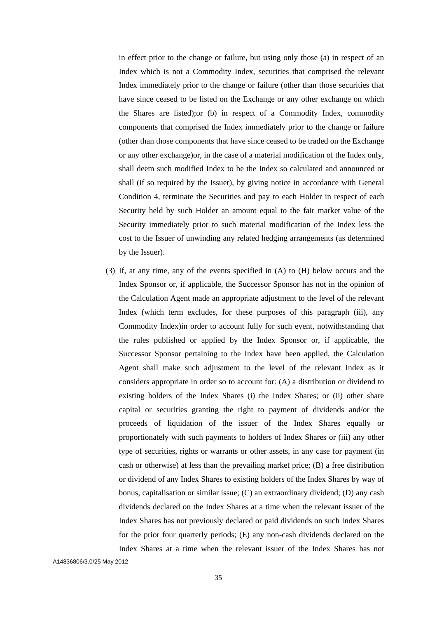in effect prior to the change or failure, but using only those (a) in respect of an Index which is not a Commodity Index, securities that comprised the relevant Index immediately prior to the change or failure (other than those securities that have since ceased to be listed on the Exchange or any other exchange on which the Shares are listed);or (b) in respect of a Commodity Index, commodity components that comprised the Index immediately prior to the change or failure (other than those components that have since ceased to be traded on the Exchange or any other exchange)or, in the case of a material modification of the Index only, shall deem such modified Index to be the Index so calculated and announced or shall (if so required by the Issuer), by giving notice in accordance with General Condition 4, terminate the Securities and pay to each Holder in respect of each Security held by such Holder an amount equal to the fair market value of the Security immediately prior to such material modification of the Index less the cost to the Issuer of unwinding any related hedging arrangements (as determined by the Issuer).

(3) If, at any time, any of the events specified in (A) to (H) below occurs and the Index Sponsor or, if applicable, the Successor Sponsor has not in the opinion of the Calculation Agent made an appropriate adjustment to the level of the relevant Index (which term excludes, for these purposes of this paragraph (iii), any Commodity Index)in order to account fully for such event, notwithstanding that the rules published or applied by the Index Sponsor or, if applicable, the Successor Sponsor pertaining to the Index have been applied, the Calculation Agent shall make such adjustment to the level of the relevant Index as it considers appropriate in order so to account for: (A) a distribution or dividend to existing holders of the Index Shares (i) the Index Shares; or (ii) other share capital or securities granting the right to payment of dividends and/or the proceeds of liquidation of the issuer of the Index Shares equally or proportionately with such payments to holders of Index Shares or (iii) any other type of securities, rights or warrants or other assets, in any case for payment (in cash or otherwise) at less than the prevailing market price; (B) a free distribution or dividend of any Index Shares to existing holders of the Index Shares by way of bonus, capitalisation or similar issue; (C) an extraordinary dividend; (D) any cash dividends declared on the Index Shares at a time when the relevant issuer of the Index Shares has not previously declared or paid dividends on such Index Shares for the prior four quarterly periods; (E) any non-cash dividends declared on the Index Shares at a time when the relevant issuer of the Index Shares has not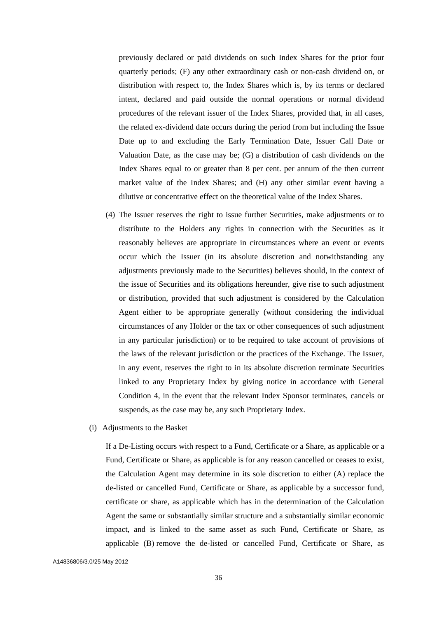previously declared or paid dividends on such Index Shares for the prior four quarterly periods; (F) any other extraordinary cash or non-cash dividend on, or distribution with respect to, the Index Shares which is, by its terms or declared intent, declared and paid outside the normal operations or normal dividend procedures of the relevant issuer of the Index Shares, provided that, in all cases, the related ex-dividend date occurs during the period from but including the Issue Date up to and excluding the Early Termination Date, Issuer Call Date or Valuation Date, as the case may be; (G) a distribution of cash dividends on the Index Shares equal to or greater than 8 per cent. per annum of the then current market value of the Index Shares; and (H) any other similar event having a dilutive or concentrative effect on the theoretical value of the Index Shares.

- (4) The Issuer reserves the right to issue further Securities, make adjustments or to distribute to the Holders any rights in connection with the Securities as it reasonably believes are appropriate in circumstances where an event or events occur which the Issuer (in its absolute discretion and notwithstanding any adjustments previously made to the Securities) believes should, in the context of the issue of Securities and its obligations hereunder, give rise to such adjustment or distribution, provided that such adjustment is considered by the Calculation Agent either to be appropriate generally (without considering the individual circumstances of any Holder or the tax or other consequences of such adjustment in any particular jurisdiction) or to be required to take account of provisions of the laws of the relevant jurisdiction or the practices of the Exchange. The Issuer, in any event, reserves the right to in its absolute discretion terminate Securities linked to any Proprietary Index by giving notice in accordance with General Condition 4, in the event that the relevant Index Sponsor terminates, cancels or suspends, as the case may be, any such Proprietary Index.
- (i) Adjustments to the Basket

If a De-Listing occurs with respect to a Fund, Certificate or a Share, as applicable or a Fund, Certificate or Share, as applicable is for any reason cancelled or ceases to exist, the Calculation Agent may determine in its sole discretion to either (A) replace the de-listed or cancelled Fund, Certificate or Share, as applicable by a successor fund, certificate or share, as applicable which has in the determination of the Calculation Agent the same or substantially similar structure and a substantially similar economic impact, and is linked to the same asset as such Fund, Certificate or Share, as applicable (B) remove the de-listed or cancelled Fund, Certificate or Share, as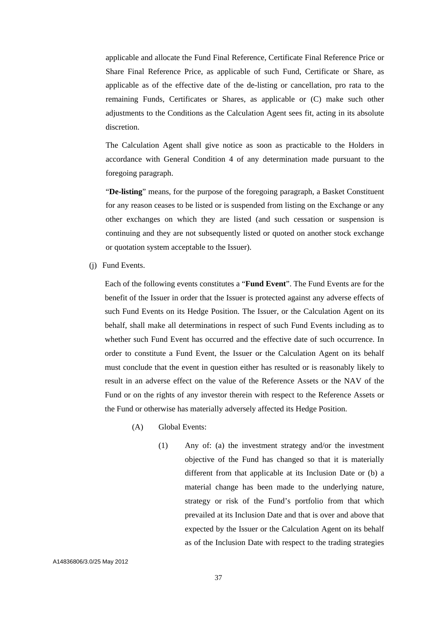applicable and allocate the Fund Final Reference, Certificate Final Reference Price or Share Final Reference Price, as applicable of such Fund, Certificate or Share, as applicable as of the effective date of the de-listing or cancellation, pro rata to the remaining Funds, Certificates or Shares, as applicable or (C) make such other adjustments to the Conditions as the Calculation Agent sees fit, acting in its absolute discretion.

The Calculation Agent shall give notice as soon as practicable to the Holders in accordance with General Condition 4 of any determination made pursuant to the foregoing paragraph.

"**De-listing**" means, for the purpose of the foregoing paragraph, a Basket Constituent for any reason ceases to be listed or is suspended from listing on the Exchange or any other exchanges on which they are listed (and such cessation or suspension is continuing and they are not subsequently listed or quoted on another stock exchange or quotation system acceptable to the Issuer).

(j) Fund Events.

Each of the following events constitutes a "**Fund Event**". The Fund Events are for the benefit of the Issuer in order that the Issuer is protected against any adverse effects of such Fund Events on its Hedge Position. The Issuer, or the Calculation Agent on its behalf, shall make all determinations in respect of such Fund Events including as to whether such Fund Event has occurred and the effective date of such occurrence. In order to constitute a Fund Event, the Issuer or the Calculation Agent on its behalf must conclude that the event in question either has resulted or is reasonably likely to result in an adverse effect on the value of the Reference Assets or the NAV of the Fund or on the rights of any investor therein with respect to the Reference Assets or the Fund or otherwise has materially adversely affected its Hedge Position.

- (A) Global Events:
	- (1) Any of: (a) the investment strategy and/or the investment objective of the Fund has changed so that it is materially different from that applicable at its Inclusion Date or (b) a material change has been made to the underlying nature, strategy or risk of the Fund's portfolio from that which prevailed at its Inclusion Date and that is over and above that expected by the Issuer or the Calculation Agent on its behalf as of the Inclusion Date with respect to the trading strategies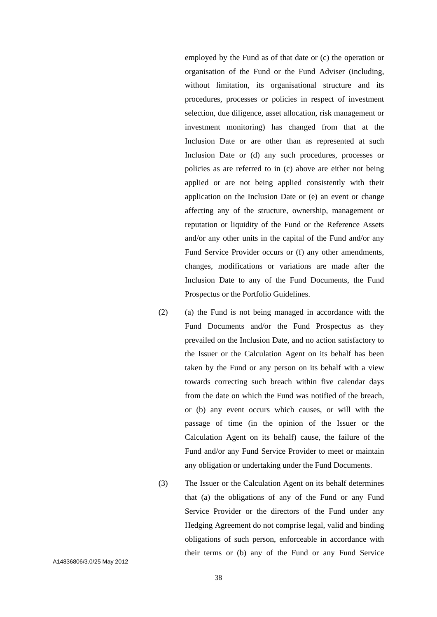employed by the Fund as of that date or (c) the operation or organisation of the Fund or the Fund Adviser (including, without limitation, its organisational structure and its procedures, processes or policies in respect of investment selection, due diligence, asset allocation, risk management or investment monitoring) has changed from that at the Inclusion Date or are other than as represented at such Inclusion Date or (d) any such procedures, processes or policies as are referred to in (c) above are either not being applied or are not being applied consistently with their application on the Inclusion Date or (e) an event or change affecting any of the structure, ownership, management or reputation or liquidity of the Fund or the Reference Assets and/or any other units in the capital of the Fund and/or any Fund Service Provider occurs or (f) any other amendments, changes, modifications or variations are made after the Inclusion Date to any of the Fund Documents, the Fund Prospectus or the Portfolio Guidelines.

- (2) (a) the Fund is not being managed in accordance with the Fund Documents and/or the Fund Prospectus as they prevailed on the Inclusion Date, and no action satisfactory to the Issuer or the Calculation Agent on its behalf has been taken by the Fund or any person on its behalf with a view towards correcting such breach within five calendar days from the date on which the Fund was notified of the breach, or (b) any event occurs which causes, or will with the passage of time (in the opinion of the Issuer or the Calculation Agent on its behalf) cause, the failure of the Fund and/or any Fund Service Provider to meet or maintain any obligation or undertaking under the Fund Documents.
- (3) The Issuer or the Calculation Agent on its behalf determines that (a) the obligations of any of the Fund or any Fund Service Provider or the directors of the Fund under any Hedging Agreement do not comprise legal, valid and binding obligations of such person, enforceable in accordance with their terms or (b) any of the Fund or any Fund Service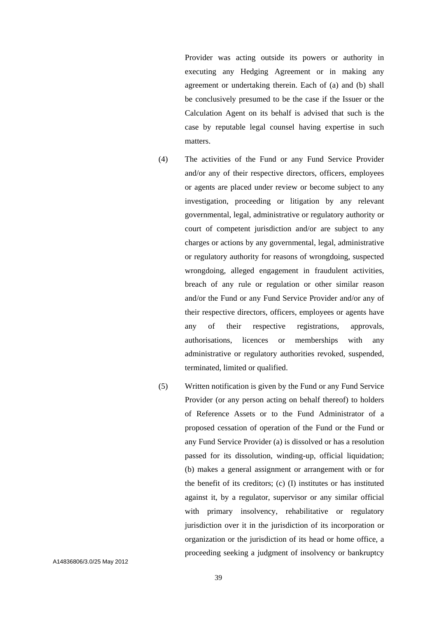Provider was acting outside its powers or authority in executing any Hedging Agreement or in making any agreement or undertaking therein. Each of (a) and (b) shall be conclusively presumed to be the case if the Issuer or the Calculation Agent on its behalf is advised that such is the case by reputable legal counsel having expertise in such matters.

- (4) The activities of the Fund or any Fund Service Provider and/or any of their respective directors, officers, employees or agents are placed under review or become subject to any investigation, proceeding or litigation by any relevant governmental, legal, administrative or regulatory authority or court of competent jurisdiction and/or are subject to any charges or actions by any governmental, legal, administrative or regulatory authority for reasons of wrongdoing, suspected wrongdoing, alleged engagement in fraudulent activities, breach of any rule or regulation or other similar reason and/or the Fund or any Fund Service Provider and/or any of their respective directors, officers, employees or agents have any of their respective registrations, approvals, authorisations, licences or memberships with any administrative or regulatory authorities revoked, suspended, terminated, limited or qualified.
- (5) Written notification is given by the Fund or any Fund Service Provider (or any person acting on behalf thereof) to holders of Reference Assets or to the Fund Administrator of a proposed cessation of operation of the Fund or the Fund or any Fund Service Provider (a) is dissolved or has a resolution passed for its dissolution, winding-up, official liquidation; (b) makes a general assignment or arrangement with or for the benefit of its creditors; (c) (I) institutes or has instituted against it, by a regulator, supervisor or any similar official with primary insolvency, rehabilitative or regulatory jurisdiction over it in the jurisdiction of its incorporation or organization or the jurisdiction of its head or home office, a proceeding seeking a judgment of insolvency or bankruptcy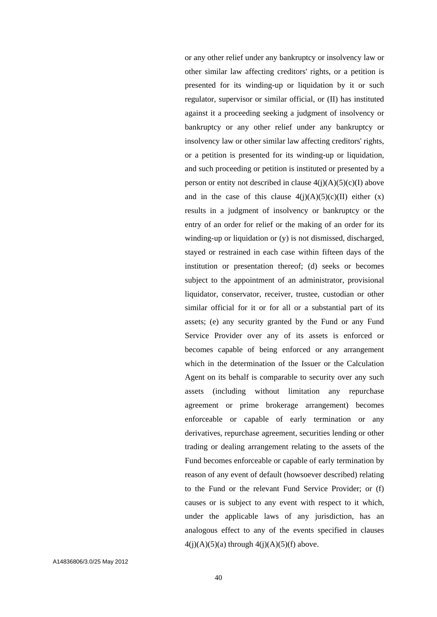or any other relief under any bankruptcy or insolvency law or other similar law affecting creditors' rights, or a petition is presented for its winding-up or liquidation by it or such regulator, supervisor or similar official, or (II) has instituted against it a proceeding seeking a judgment of insolvency or bankruptcy or any other relief under any bankruptcy or insolvency law or other similar law affecting creditors' rights, or a petition is presented for its winding-up or liquidation, and such proceeding or petition is instituted or presented by a person or entity not described in clause  $4(j)(A)(5)(c)(I)$  above and in the case of this clause  $4(j)(A)(5)(c)(II)$  either  $(x)$ results in a judgment of insolvency or bankruptcy or the entry of an order for relief or the making of an order for its winding-up or liquidation or (y) is not dismissed, discharged, stayed or restrained in each case within fifteen days of the institution or presentation thereof; (d) seeks or becomes subject to the appointment of an administrator, provisional liquidator, conservator, receiver, trustee, custodian or other similar official for it or for all or a substantial part of its assets; (e) any security granted by the Fund or any Fund Service Provider over any of its assets is enforced or becomes capable of being enforced or any arrangement which in the determination of the Issuer or the Calculation Agent on its behalf is comparable to security over any such assets (including without limitation any repurchase agreement or prime brokerage arrangement) becomes enforceable or capable of early termination or any derivatives, repurchase agreement, securities lending or other trading or dealing arrangement relating to the assets of the Fund becomes enforceable or capable of early termination by reason of any event of default (howsoever described) relating to the Fund or the relevant Fund Service Provider; or (f) causes or is subject to any event with respect to it which, under the applicable laws of any jurisdiction, has an analogous effect to any of the events specified in clauses  $4(j)(A)(5)(a)$  through  $4(j)(A)(5)(f)$  above.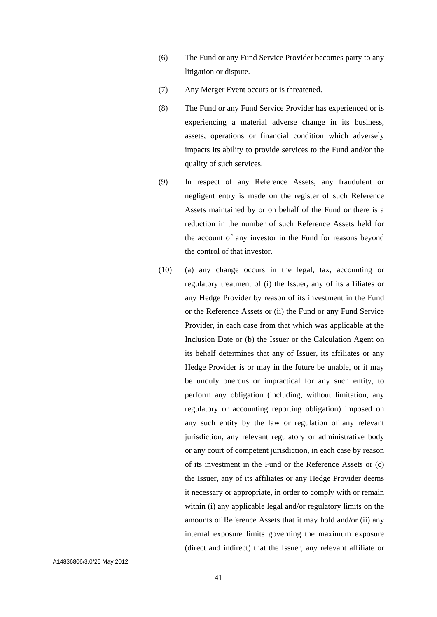- (6) The Fund or any Fund Service Provider becomes party to any litigation or dispute.
- (7) Any Merger Event occurs or is threatened.
- (8) The Fund or any Fund Service Provider has experienced or is experiencing a material adverse change in its business, assets, operations or financial condition which adversely impacts its ability to provide services to the Fund and/or the quality of such services.
- (9) In respect of any Reference Assets, any fraudulent or negligent entry is made on the register of such Reference Assets maintained by or on behalf of the Fund or there is a reduction in the number of such Reference Assets held for the account of any investor in the Fund for reasons beyond the control of that investor.
- (10) (a) any change occurs in the legal, tax, accounting or regulatory treatment of (i) the Issuer, any of its affiliates or any Hedge Provider by reason of its investment in the Fund or the Reference Assets or (ii) the Fund or any Fund Service Provider, in each case from that which was applicable at the Inclusion Date or (b) the Issuer or the Calculation Agent on its behalf determines that any of Issuer, its affiliates or any Hedge Provider is or may in the future be unable, or it may be unduly onerous or impractical for any such entity, to perform any obligation (including, without limitation, any regulatory or accounting reporting obligation) imposed on any such entity by the law or regulation of any relevant jurisdiction, any relevant regulatory or administrative body or any court of competent jurisdiction, in each case by reason of its investment in the Fund or the Reference Assets or (c) the Issuer, any of its affiliates or any Hedge Provider deems it necessary or appropriate, in order to comply with or remain within (i) any applicable legal and/or regulatory limits on the amounts of Reference Assets that it may hold and/or (ii) any internal exposure limits governing the maximum exposure (direct and indirect) that the Issuer, any relevant affiliate or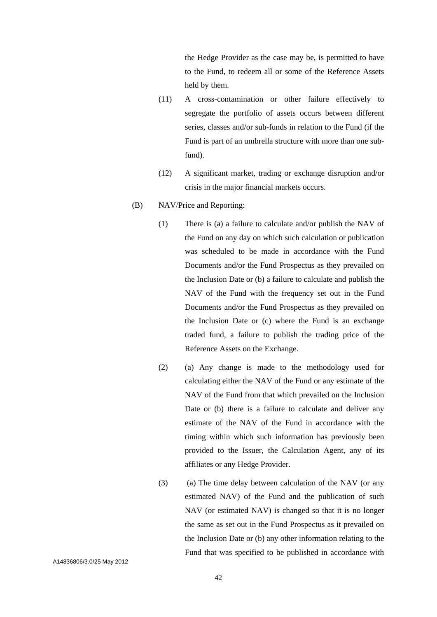the Hedge Provider as the case may be, is permitted to have to the Fund, to redeem all or some of the Reference Assets held by them.

- (11) A cross-contamination or other failure effectively to segregate the portfolio of assets occurs between different series, classes and/or sub-funds in relation to the Fund (if the Fund is part of an umbrella structure with more than one subfund).
- (12) A significant market, trading or exchange disruption and/or crisis in the major financial markets occurs.
- (B) NAV/Price and Reporting:
	- (1) There is (a) a failure to calculate and/or publish the NAV of the Fund on any day on which such calculation or publication was scheduled to be made in accordance with the Fund Documents and/or the Fund Prospectus as they prevailed on the Inclusion Date or (b) a failure to calculate and publish the NAV of the Fund with the frequency set out in the Fund Documents and/or the Fund Prospectus as they prevailed on the Inclusion Date or (c) where the Fund is an exchange traded fund, a failure to publish the trading price of the Reference Assets on the Exchange.
	- (2) (a) Any change is made to the methodology used for calculating either the NAV of the Fund or any estimate of the NAV of the Fund from that which prevailed on the Inclusion Date or (b) there is a failure to calculate and deliver any estimate of the NAV of the Fund in accordance with the timing within which such information has previously been provided to the Issuer, the Calculation Agent, any of its affiliates or any Hedge Provider.
	- (3) (a) The time delay between calculation of the NAV (or any estimated NAV) of the Fund and the publication of such NAV (or estimated NAV) is changed so that it is no longer the same as set out in the Fund Prospectus as it prevailed on the Inclusion Date or (b) any other information relating to the Fund that was specified to be published in accordance with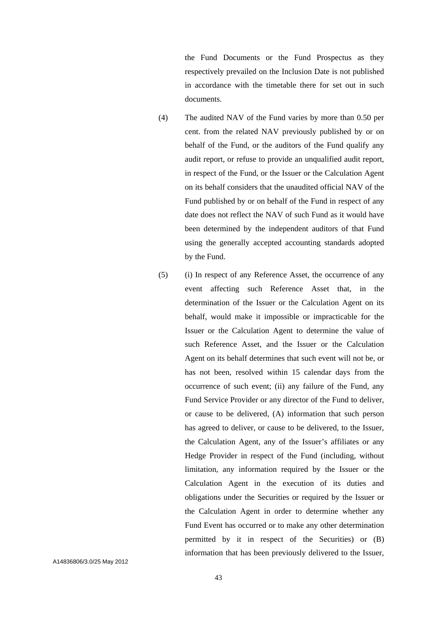the Fund Documents or the Fund Prospectus as they respectively prevailed on the Inclusion Date is not published in accordance with the timetable there for set out in such documents.

- (4) The audited NAV of the Fund varies by more than 0.50 per cent. from the related NAV previously published by or on behalf of the Fund, or the auditors of the Fund qualify any audit report, or refuse to provide an unqualified audit report, in respect of the Fund, or the Issuer or the Calculation Agent on its behalf considers that the unaudited official NAV of the Fund published by or on behalf of the Fund in respect of any date does not reflect the NAV of such Fund as it would have been determined by the independent auditors of that Fund using the generally accepted accounting standards adopted by the Fund.
- (5) (i) In respect of any Reference Asset, the occurrence of any event affecting such Reference Asset that, in the determination of the Issuer or the Calculation Agent on its behalf, would make it impossible or impracticable for the Issuer or the Calculation Agent to determine the value of such Reference Asset, and the Issuer or the Calculation Agent on its behalf determines that such event will not be, or has not been, resolved within 15 calendar days from the occurrence of such event; (ii) any failure of the Fund, any Fund Service Provider or any director of the Fund to deliver, or cause to be delivered, (A) information that such person has agreed to deliver, or cause to be delivered, to the Issuer, the Calculation Agent, any of the Issuer's affiliates or any Hedge Provider in respect of the Fund (including, without limitation, any information required by the Issuer or the Calculation Agent in the execution of its duties and obligations under the Securities or required by the Issuer or the Calculation Agent in order to determine whether any Fund Event has occurred or to make any other determination permitted by it in respect of the Securities) or (B) information that has been previously delivered to the Issuer,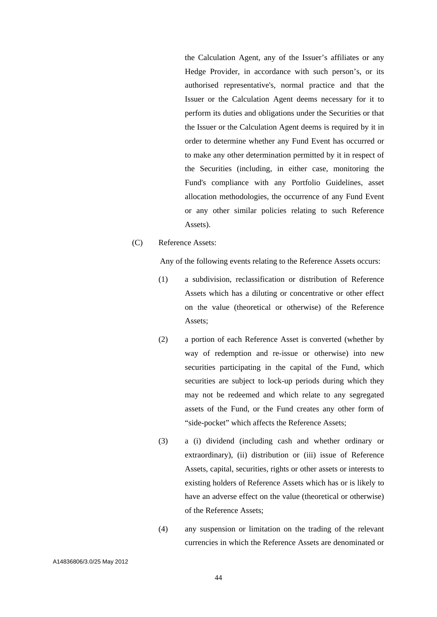the Calculation Agent, any of the Issuer's affiliates or any Hedge Provider, in accordance with such person's, or its authorised representative's, normal practice and that the Issuer or the Calculation Agent deems necessary for it to perform its duties and obligations under the Securities or that the Issuer or the Calculation Agent deems is required by it in order to determine whether any Fund Event has occurred or to make any other determination permitted by it in respect of the Securities (including, in either case, monitoring the Fund's compliance with any Portfolio Guidelines, asset allocation methodologies, the occurrence of any Fund Event or any other similar policies relating to such Reference Assets).

## (C) Reference Assets:

Any of the following events relating to the Reference Assets occurs:

- (1) a subdivision, reclassification or distribution of Reference Assets which has a diluting or concentrative or other effect on the value (theoretical or otherwise) of the Reference Assets;
- (2) a portion of each Reference Asset is converted (whether by way of redemption and re-issue or otherwise) into new securities participating in the capital of the Fund, which securities are subject to lock-up periods during which they may not be redeemed and which relate to any segregated assets of the Fund, or the Fund creates any other form of "side-pocket" which affects the Reference Assets;
- (3) a (i) dividend (including cash and whether ordinary or extraordinary), (ii) distribution or (iii) issue of Reference Assets, capital, securities, rights or other assets or interests to existing holders of Reference Assets which has or is likely to have an adverse effect on the value (theoretical or otherwise) of the Reference Assets;
- (4) any suspension or limitation on the trading of the relevant currencies in which the Reference Assets are denominated or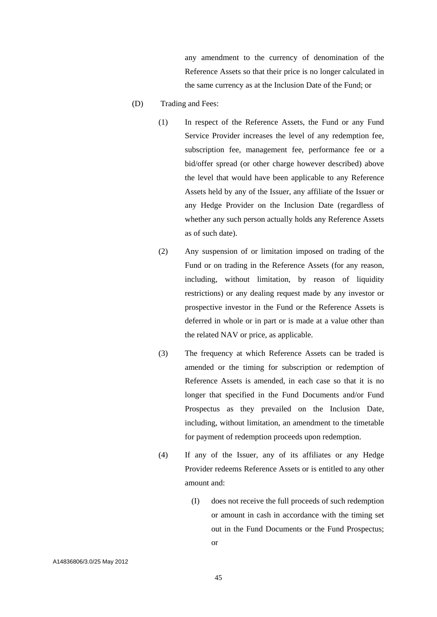any amendment to the currency of denomination of the Reference Assets so that their price is no longer calculated in the same currency as at the Inclusion Date of the Fund; or

- (D) Trading and Fees:
	- (1) In respect of the Reference Assets, the Fund or any Fund Service Provider increases the level of any redemption fee, subscription fee, management fee, performance fee or a bid/offer spread (or other charge however described) above the level that would have been applicable to any Reference Assets held by any of the Issuer, any affiliate of the Issuer or any Hedge Provider on the Inclusion Date (regardless of whether any such person actually holds any Reference Assets as of such date).
	- (2) Any suspension of or limitation imposed on trading of the Fund or on trading in the Reference Assets (for any reason, including, without limitation, by reason of liquidity restrictions) or any dealing request made by any investor or prospective investor in the Fund or the Reference Assets is deferred in whole or in part or is made at a value other than the related NAV or price, as applicable.
	- (3) The frequency at which Reference Assets can be traded is amended or the timing for subscription or redemption of Reference Assets is amended, in each case so that it is no longer that specified in the Fund Documents and/or Fund Prospectus as they prevailed on the Inclusion Date, including, without limitation, an amendment to the timetable for payment of redemption proceeds upon redemption.
	- (4) If any of the Issuer, any of its affiliates or any Hedge Provider redeems Reference Assets or is entitled to any other amount and:
		- (I) does not receive the full proceeds of such redemption or amount in cash in accordance with the timing set out in the Fund Documents or the Fund Prospectus; or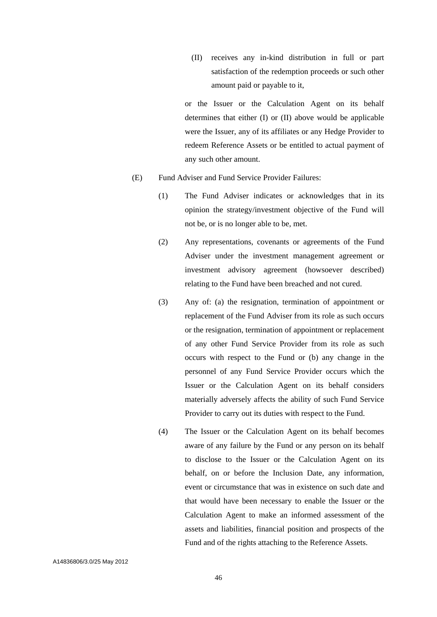(II) receives any in-kind distribution in full or part satisfaction of the redemption proceeds or such other amount paid or payable to it,

or the Issuer or the Calculation Agent on its behalf determines that either (I) or (II) above would be applicable were the Issuer, any of its affiliates or any Hedge Provider to redeem Reference Assets or be entitled to actual payment of any such other amount.

- (E) Fund Adviser and Fund Service Provider Failures:
	- (1) The Fund Adviser indicates or acknowledges that in its opinion the strategy/investment objective of the Fund will not be, or is no longer able to be, met.
	- (2) Any representations, covenants or agreements of the Fund Adviser under the investment management agreement or investment advisory agreement (howsoever described) relating to the Fund have been breached and not cured.
	- (3) Any of: (a) the resignation, termination of appointment or replacement of the Fund Adviser from its role as such occurs or the resignation, termination of appointment or replacement of any other Fund Service Provider from its role as such occurs with respect to the Fund or (b) any change in the personnel of any Fund Service Provider occurs which the Issuer or the Calculation Agent on its behalf considers materially adversely affects the ability of such Fund Service Provider to carry out its duties with respect to the Fund.
	- (4) The Issuer or the Calculation Agent on its behalf becomes aware of any failure by the Fund or any person on its behalf to disclose to the Issuer or the Calculation Agent on its behalf, on or before the Inclusion Date, any information, event or circumstance that was in existence on such date and that would have been necessary to enable the Issuer or the Calculation Agent to make an informed assessment of the assets and liabilities, financial position and prospects of the Fund and of the rights attaching to the Reference Assets.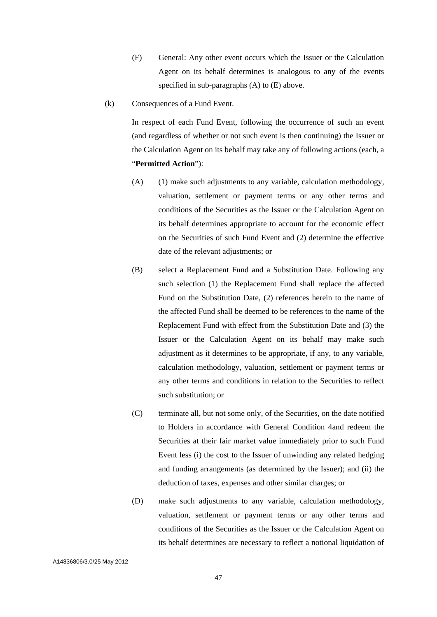- (F) General: Any other event occurs which the Issuer or the Calculation Agent on its behalf determines is analogous to any of the events specified in sub-paragraphs (A) to (E) above.
- (k) Consequences of a Fund Event.

In respect of each Fund Event, following the occurrence of such an event (and regardless of whether or not such event is then continuing) the Issuer or the Calculation Agent on its behalf may take any of following actions (each, a "**Permitted Action**"):

- (A) (1) make such adjustments to any variable, calculation methodology, valuation, settlement or payment terms or any other terms and conditions of the Securities as the Issuer or the Calculation Agent on its behalf determines appropriate to account for the economic effect on the Securities of such Fund Event and (2) determine the effective date of the relevant adjustments; or
- (B) select a Replacement Fund and a Substitution Date. Following any such selection (1) the Replacement Fund shall replace the affected Fund on the Substitution Date, (2) references herein to the name of the affected Fund shall be deemed to be references to the name of the Replacement Fund with effect from the Substitution Date and (3) the Issuer or the Calculation Agent on its behalf may make such adjustment as it determines to be appropriate, if any, to any variable, calculation methodology, valuation, settlement or payment terms or any other terms and conditions in relation to the Securities to reflect such substitution; or
- (C) terminate all, but not some only, of the Securities, on the date notified to Holders in accordance with General Condition 4and redeem the Securities at their fair market value immediately prior to such Fund Event less (i) the cost to the Issuer of unwinding any related hedging and funding arrangements (as determined by the Issuer); and (ii) the deduction of taxes, expenses and other similar charges; or
- (D) make such adjustments to any variable, calculation methodology, valuation, settlement or payment terms or any other terms and conditions of the Securities as the Issuer or the Calculation Agent on its behalf determines are necessary to reflect a notional liquidation of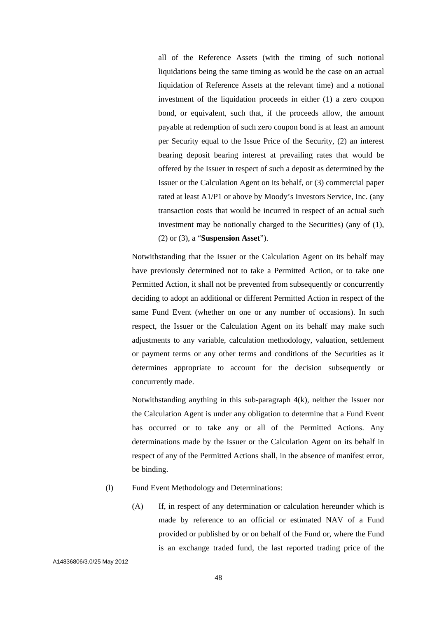all of the Reference Assets (with the timing of such notional liquidations being the same timing as would be the case on an actual liquidation of Reference Assets at the relevant time) and a notional investment of the liquidation proceeds in either (1) a zero coupon bond, or equivalent, such that, if the proceeds allow, the amount payable at redemption of such zero coupon bond is at least an amount per Security equal to the Issue Price of the Security, (2) an interest bearing deposit bearing interest at prevailing rates that would be offered by the Issuer in respect of such a deposit as determined by the Issuer or the Calculation Agent on its behalf, or (3) commercial paper rated at least A1/P1 or above by Moody's Investors Service, Inc. (any transaction costs that would be incurred in respect of an actual such investment may be notionally charged to the Securities) (any of (1), (2) or (3), a "**Suspension Asset**").

Notwithstanding that the Issuer or the Calculation Agent on its behalf may have previously determined not to take a Permitted Action, or to take one Permitted Action, it shall not be prevented from subsequently or concurrently deciding to adopt an additional or different Permitted Action in respect of the same Fund Event (whether on one or any number of occasions). In such respect, the Issuer or the Calculation Agent on its behalf may make such adjustments to any variable, calculation methodology, valuation, settlement or payment terms or any other terms and conditions of the Securities as it determines appropriate to account for the decision subsequently or concurrently made.

Notwithstanding anything in this sub-paragraph 4(k), neither the Issuer nor the Calculation Agent is under any obligation to determine that a Fund Event has occurred or to take any or all of the Permitted Actions. Any determinations made by the Issuer or the Calculation Agent on its behalf in respect of any of the Permitted Actions shall, in the absence of manifest error, be binding.

### (l) Fund Event Methodology and Determinations:

(A) If, in respect of any determination or calculation hereunder which is made by reference to an official or estimated NAV of a Fund provided or published by or on behalf of the Fund or, where the Fund is an exchange traded fund, the last reported trading price of the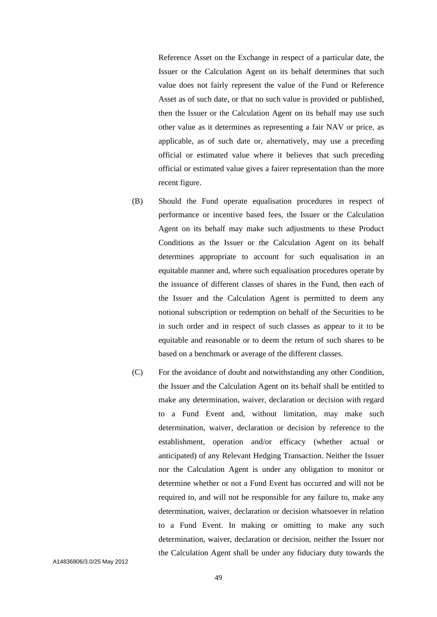Reference Asset on the Exchange in respect of a particular date, the Issuer or the Calculation Agent on its behalf determines that such value does not fairly represent the value of the Fund or Reference Asset as of such date, or that no such value is provided or published, then the Issuer or the Calculation Agent on its behalf may use such other value as it determines as representing a fair NAV or price, as applicable, as of such date or, alternatively, may use a preceding official or estimated value where it believes that such preceding official or estimated value gives a fairer representation than the more recent figure.

- (B) Should the Fund operate equalisation procedures in respect of performance or incentive based fees, the Issuer or the Calculation Agent on its behalf may make such adjustments to these Product Conditions as the Issuer or the Calculation Agent on its behalf determines appropriate to account for such equalisation in an equitable manner and, where such equalisation procedures operate by the issuance of different classes of shares in the Fund, then each of the Issuer and the Calculation Agent is permitted to deem any notional subscription or redemption on behalf of the Securities to be in such order and in respect of such classes as appear to it to be equitable and reasonable or to deem the return of such shares to be based on a benchmark or average of the different classes.
- (C) For the avoidance of doubt and notwithstanding any other Condition, the Issuer and the Calculation Agent on its behalf shall be entitled to make any determination, waiver, declaration or decision with regard to a Fund Event and, without limitation, may make such determination, waiver, declaration or decision by reference to the establishment, operation and/or efficacy (whether actual or anticipated) of any Relevant Hedging Transaction. Neither the Issuer nor the Calculation Agent is under any obligation to monitor or determine whether or not a Fund Event has occurred and will not be required to, and will not be responsible for any failure to, make any determination, waiver, declaration or decision whatsoever in relation to a Fund Event. In making or omitting to make any such determination, waiver, declaration or decision, neither the Issuer nor the Calculation Agent shall be under any fiduciary duty towards the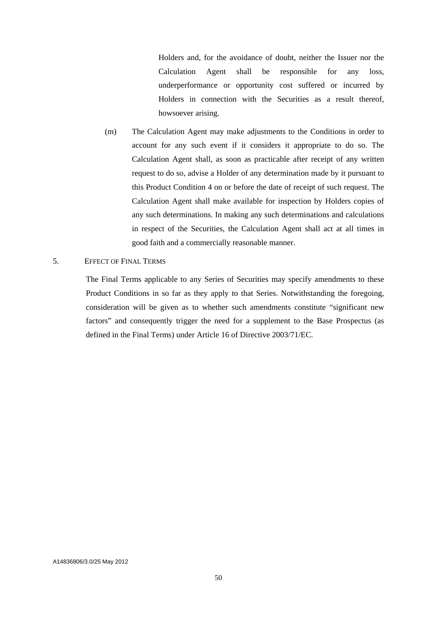Holders and, for the avoidance of doubt, neither the Issuer nor the Calculation Agent shall be responsible for any loss, underperformance or opportunity cost suffered or incurred by Holders in connection with the Securities as a result thereof, howsoever arising.

(m) The Calculation Agent may make adjustments to the Conditions in order to account for any such event if it considers it appropriate to do so. The Calculation Agent shall, as soon as practicable after receipt of any written request to do so, advise a Holder of any determination made by it pursuant to this Product Condition 4 on or before the date of receipt of such request. The Calculation Agent shall make available for inspection by Holders copies of any such determinations. In making any such determinations and calculations in respect of the Securities, the Calculation Agent shall act at all times in good faith and a commercially reasonable manner.

### 5. EFFECT OF FINAL TERMS

The Final Terms applicable to any Series of Securities may specify amendments to these Product Conditions in so far as they apply to that Series. Notwithstanding the foregoing, consideration will be given as to whether such amendments constitute "significant new factors" and consequently trigger the need for a supplement to the Base Prospectus (as defined in the Final Terms) under Article 16 of Directive 2003/71/EC.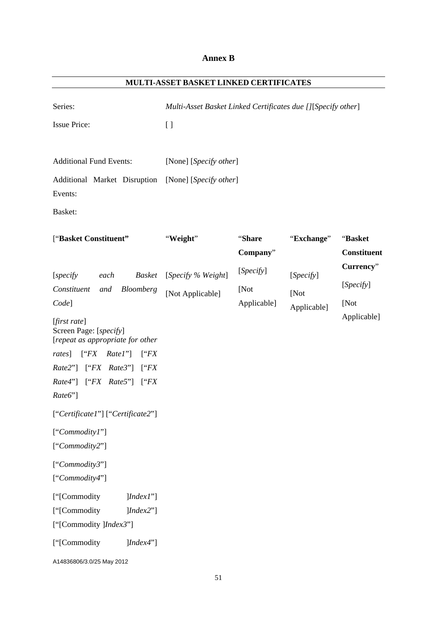# **Annex B**

| MULTI-ASSET BASKET LINKED CERTIFICATES                                                                                                                                                                                                                                                                                                                                                                                                                                                                                                                   |                                                                                                                                        |                                                        |                                                |                                                                                |
|----------------------------------------------------------------------------------------------------------------------------------------------------------------------------------------------------------------------------------------------------------------------------------------------------------------------------------------------------------------------------------------------------------------------------------------------------------------------------------------------------------------------------------------------------------|----------------------------------------------------------------------------------------------------------------------------------------|--------------------------------------------------------|------------------------------------------------|--------------------------------------------------------------------------------|
| Series:<br><b>Issue Price:</b><br><b>Additional Fund Events:</b><br>Additional Market Disruption<br>Events:<br>Basket:                                                                                                                                                                                                                                                                                                                                                                                                                                   | Multi-Asset Basket Linked Certificates due [][Specify other]<br>$\left[ \ \right]$<br>[None] [Specify other]<br>[None] [Specify other] |                                                        |                                                |                                                                                |
| ["Basket Constituent"<br><b>Basket</b><br>[specify]<br>each<br>Constituent<br>Bloomberg<br>and<br>Code]<br>$[first\ rate]$<br>Screen Page: [specify]<br>[repeat as appropriate for other<br>[``FX<br>$RateI$ "]<br><i>rates</i> ]<br>[``FX<br>Rate2"] ["FX Rate3"]<br>$\int^{\alpha} FX$<br>Rate4"] ["FX Rate5"]<br>$\int^{\alpha} FX$<br>Rate6"]<br>["Certificate1"] ["Certificate2"]<br>["Commodity1"]<br>["Commodity2"]<br>["Commodity3"]<br>["Commodity4"]<br>["[Commodity<br>$] Index I$ "]<br>["[Commodity<br>] Index2"]<br>["[Commodity ]Index3"] | "Weight"<br>[Specify % Weight]<br>[Not Applicable]                                                                                     | "Share<br>Company"<br>[Specify]<br>[Not<br>Applicable] | "Exchange"<br>[Specify]<br>[Not<br>Applicable] | "Basket<br><b>Constituent</b><br>Currency"<br>[Specify]<br>[Not<br>Applicable] |
| ["[Commodity<br>[Index4"]<br>A14836806/3.0/25 May 2012                                                                                                                                                                                                                                                                                                                                                                                                                                                                                                   |                                                                                                                                        |                                                        |                                                |                                                                                |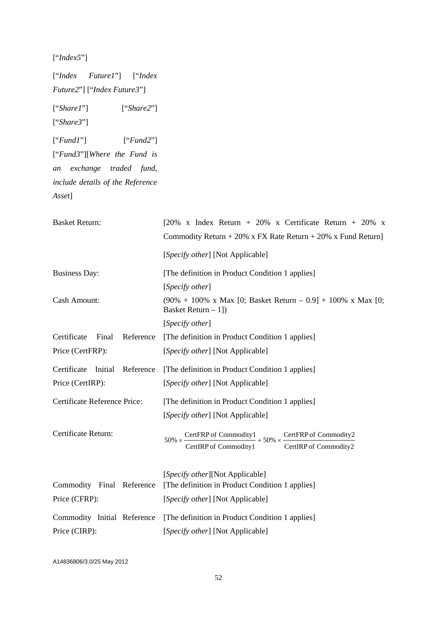["*Index5*"]

["*Index Future1*"] ["*Index Future2*"] ["*Index Future3*"] ["*Share1*"] ["*Share2*"] ["*Share3*"] ["*Fund1*"] ["*Fund2*"] ["*Fund3*"][*Where the Fund is an exchange traded fund, include details of the Reference Asset*]

| [20% x Index Return + 20% x Certificate Return + 20% x                                                                                               |
|------------------------------------------------------------------------------------------------------------------------------------------------------|
| Commodity Return + 20% x FX Rate Return + 20% x Fund Return]                                                                                         |
| [Specify other] [Not Applicable]                                                                                                                     |
| [The definition in Product Condition 1 applies]                                                                                                      |
| [Specify other]                                                                                                                                      |
| $(90\% + 100\% \times Max \t[0; Basket Return - 0.9] + 100\% \times Max \t[0;$<br>Basket Return $-1$ ])                                              |
| [Specify other]                                                                                                                                      |
| [The definition in Product Condition 1 applies]                                                                                                      |
| [Specify other] [Not Applicable]                                                                                                                     |
| [The definition in Product Condition 1 applies]                                                                                                      |
| [Specify other] [Not Applicable]                                                                                                                     |
| [The definition in Product Condition 1 applies]                                                                                                      |
| [Specify other] [Not Applicable]                                                                                                                     |
| CertFRP of Commodity2<br>CertFRP of Commodity $1 + 50\% \times \frac{1}{2}$<br>$50\% \times \cdot$<br>CertIRP of Commodity1<br>CertIRP of Commodity2 |
| [Specify other][Not Applicable]                                                                                                                      |
| [The definition in Product Condition 1 applies]                                                                                                      |
| [Specify other] [Not Applicable]                                                                                                                     |
| [The definition in Product Condition 1 applies]                                                                                                      |
| [Specify other] [Not Applicable]                                                                                                                     |
|                                                                                                                                                      |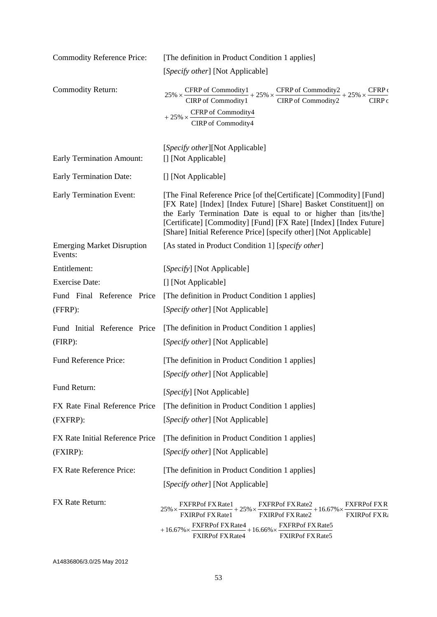| <b>Commodity Reference Price:</b>            | [The definition in Product Condition 1 applies]                                                                                                                                                                                                                                                                                                      |
|----------------------------------------------|------------------------------------------------------------------------------------------------------------------------------------------------------------------------------------------------------------------------------------------------------------------------------------------------------------------------------------------------------|
|                                              | [Specify other] [Not Applicable]                                                                                                                                                                                                                                                                                                                     |
| Commodity Return:                            | CFRP of Commodity1<br>CIRP of Commodity1<br>CIRP of Commodity2<br>CIRP of Commodity2<br>CIRP of Commodity2<br>CFRP<br>$25\% \times$<br>CIRP <sub>c</sub><br>$+25\% \times \frac{\text{CFRP of Commodity4}}{}$<br>CIRP of Commodity4                                                                                                                  |
| <b>Early Termination Amount:</b>             | [Specify other][Not Applicable]<br>[] [Not Applicable]                                                                                                                                                                                                                                                                                               |
| <b>Early Termination Date:</b>               | [] [Not Applicable]                                                                                                                                                                                                                                                                                                                                  |
| <b>Early Termination Event:</b>              | [The Final Reference Price [of the [Certificate] [Commodity] [Fund]<br>[FX Rate] [Index] [Index Future] [Share] Basket Constituent]] on<br>the Early Termination Date is equal to or higher than [its/the]<br>[Certificate] [Commodity] [Fund] [FX Rate] [Index] [Index Future]<br>[Share] Initial Reference Price] [specify other] [Not Applicable] |
| <b>Emerging Market Disruption</b><br>Events: | [As stated in Product Condition 1] [specify other]                                                                                                                                                                                                                                                                                                   |
| Entitlement:                                 | [Specify] [Not Applicable]                                                                                                                                                                                                                                                                                                                           |
| <b>Exercise Date:</b>                        | [] [Not Applicable]                                                                                                                                                                                                                                                                                                                                  |
| Fund Final Reference Price                   | [The definition in Product Condition 1 applies]                                                                                                                                                                                                                                                                                                      |
| (FFRP):                                      | [Specify other] [Not Applicable]                                                                                                                                                                                                                                                                                                                     |
| Fund Initial Reference Price                 | [The definition in Product Condition 1 applies]                                                                                                                                                                                                                                                                                                      |
| $(FIRP)$ :                                   | [Specify other] [Not Applicable]                                                                                                                                                                                                                                                                                                                     |
| Fund Reference Price:                        | [The definition in Product Condition 1 applies]                                                                                                                                                                                                                                                                                                      |
|                                              | [Specify other] [Not Applicable]                                                                                                                                                                                                                                                                                                                     |
| Fund Return:                                 | [Specify] [Not Applicable]                                                                                                                                                                                                                                                                                                                           |
| FX Rate Final Reference Price                | [The definition in Product Condition 1 applies]                                                                                                                                                                                                                                                                                                      |
| (FXFRP):                                     | [Specify other] [Not Applicable]                                                                                                                                                                                                                                                                                                                     |
| FX Rate Initial Reference Price              | [The definition in Product Condition 1 applies]                                                                                                                                                                                                                                                                                                      |
| (FXIRP):                                     | [Specify other] [Not Applicable]                                                                                                                                                                                                                                                                                                                     |
| FX Rate Reference Price:                     | [The definition in Product Condition 1 applies]                                                                                                                                                                                                                                                                                                      |
|                                              | [Specify other] [Not Applicable]                                                                                                                                                                                                                                                                                                                     |
| FX Rate Return:                              | FXFRPof FXR<br>FXFRPof FXRate2<br>FXFRPof FX Rate1<br>$+25\% \times$<br>$+16.67\% \times$<br>$25\% \times$<br><b>FXIRPof FX Rate1</b><br><b>FXIRPof FX Rate2</b><br><b>FXIRPof FXR:</b><br><b>FXFRPof FX Rate4</b><br><b>FXFRPof FX Rate5</b><br>$+16.66\% \times$<br>$+16.67\% \times$<br><b>FXIRPof FX Rate4</b><br>FXIRPof FX Rate5               |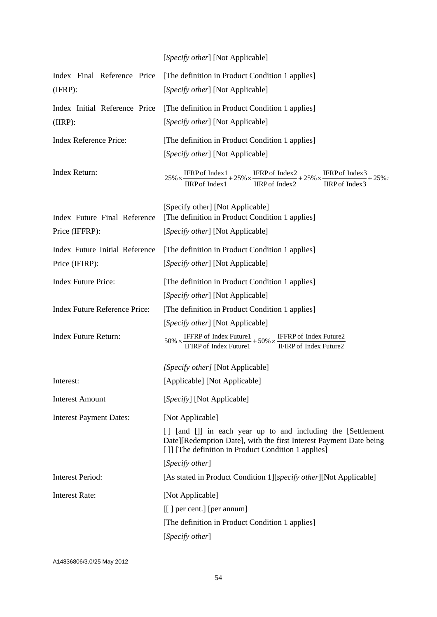# [*Specify other*] [Not Applicable]

| (IFRP):                                  | Index Final Reference Price [The definition in Product Condition 1 applies]<br>[Specify other] [Not Applicable]                                                                                                 |
|------------------------------------------|-----------------------------------------------------------------------------------------------------------------------------------------------------------------------------------------------------------------|
| Index Initial Reference Price<br>(IIRP): | [The definition in Product Condition 1 applies]<br>[Specify other] [Not Applicable]                                                                                                                             |
| Index Reference Price:                   | [The definition in Product Condition 1 applies]                                                                                                                                                                 |
|                                          | [Specify other] [Not Applicable]                                                                                                                                                                                |
| Index Return:                            | $25\% \times \frac{\text{IFRP of Index1}}{\text{IIRP of Index1}} + 25\% \times \frac{\text{IFRP of Index2}}{\text{IIRP of Index2}} + 25\% \times \frac{\text{IFRP of Index3}}{\text{IIRP of Index3}}$<br>$+25%$ |
| Index Future Final Reference             | [Specify other] [Not Applicable]<br>[The definition in Product Condition 1 applies]                                                                                                                             |
| Price (IFFRP):                           | [Specify other] [Not Applicable]                                                                                                                                                                                |
| Index Future Initial Reference           | [The definition in Product Condition 1 applies]                                                                                                                                                                 |
| Price (IFIRP):                           | [Specify other] [Not Applicable]                                                                                                                                                                                |
| <b>Index Future Price:</b>               | [The definition in Product Condition 1 applies]                                                                                                                                                                 |
|                                          | [Specify other] [Not Applicable]                                                                                                                                                                                |
| <b>Index Future Reference Price:</b>     | [The definition in Product Condition 1 applies]                                                                                                                                                                 |
|                                          | [Specify other] [Not Applicable]                                                                                                                                                                                |
| Index Future Return:                     | $50\% \times \frac{\text{IFFRP of Index Future1}}{\text{IFIRP of Index Future1}} + 50\% \times \frac{\text{IFFRP of Index Future2}}{\text{IFIRP of Index Future2}}$                                             |
|                                          | [Specify other] [Not Applicable]                                                                                                                                                                                |
| Interest:                                | [Applicable] [Not Applicable]                                                                                                                                                                                   |
| <b>Interest Amount</b>                   | [Specify] [Not Applicable]                                                                                                                                                                                      |
| <b>Interest Payment Dates:</b>           | [Not Applicable]                                                                                                                                                                                                |
|                                          | [] [and []] in each year up to and including the [Settlement<br>Date][Redemption Date], with the first Interest Payment Date being<br>[ ]] [The definition in Product Condition 1 applies]                      |
|                                          | [Specify other]                                                                                                                                                                                                 |
| <b>Interest Period:</b>                  | [As stated in Product Condition 1][specify other][Not Applicable]                                                                                                                                               |
| <b>Interest Rate:</b>                    | [Not Applicable]                                                                                                                                                                                                |
|                                          | [[] per cent.] [per annum]                                                                                                                                                                                      |
|                                          | [The definition in Product Condition 1 applies]                                                                                                                                                                 |
|                                          | [Specify other]                                                                                                                                                                                                 |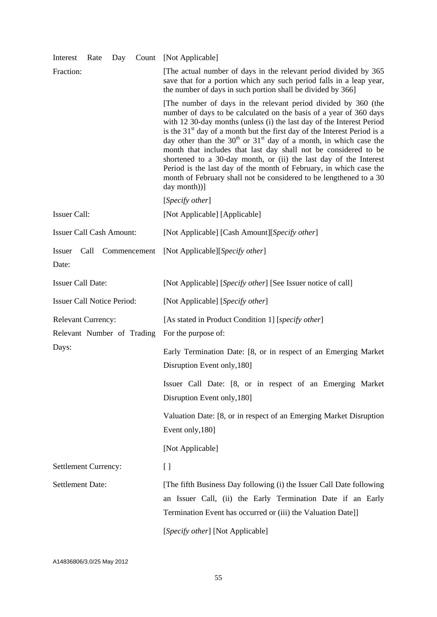| Interest<br>Rate<br>Day                                 | [Not Applicable]<br>Count                                                                                                                                                                                                                                                                                                                                                                                                                                                                                                                                                                                                                                                |
|---------------------------------------------------------|--------------------------------------------------------------------------------------------------------------------------------------------------------------------------------------------------------------------------------------------------------------------------------------------------------------------------------------------------------------------------------------------------------------------------------------------------------------------------------------------------------------------------------------------------------------------------------------------------------------------------------------------------------------------------|
| Fraction:                                               | [The actual number of days in the relevant period divided by 365<br>save that for a portion which any such period falls in a leap year,<br>the number of days in such portion shall be divided by 366]                                                                                                                                                                                                                                                                                                                                                                                                                                                                   |
|                                                         | [The number of days in the relevant period divided by 360 (the<br>number of days to be calculated on the basis of a year of 360 days<br>with 12 30-day months (unless (i) the last day of the Interest Period<br>is the $31st$ day of a month but the first day of the Interest Period is a<br>day other than the $30th$ or $31st$ day of a month, in which case the<br>month that includes that last day shall not be considered to be<br>shortened to a 30-day month, or (ii) the last day of the Interest<br>Period is the last day of the month of February, in which case the<br>month of February shall not be considered to be lengthened to a 30<br>day month))] |
|                                                         | [ <i>Specify other</i> ]                                                                                                                                                                                                                                                                                                                                                                                                                                                                                                                                                                                                                                                 |
| <b>Issuer Call:</b>                                     | [Not Applicable] [Applicable]                                                                                                                                                                                                                                                                                                                                                                                                                                                                                                                                                                                                                                            |
| <b>Issuer Call Cash Amount:</b>                         | [Not Applicable] [Cash Amount][Specify other]                                                                                                                                                                                                                                                                                                                                                                                                                                                                                                                                                                                                                            |
| <b>Issuer</b><br>Call<br>Commencement<br>Date:          | [Not Applicable][Specify other]                                                                                                                                                                                                                                                                                                                                                                                                                                                                                                                                                                                                                                          |
| <b>Issuer Call Date:</b>                                | [Not Applicable] [Specify other] [See Issuer notice of call]                                                                                                                                                                                                                                                                                                                                                                                                                                                                                                                                                                                                             |
| <b>Issuer Call Notice Period:</b>                       | [Not Applicable] [Specify other]                                                                                                                                                                                                                                                                                                                                                                                                                                                                                                                                                                                                                                         |
| <b>Relevant Currency:</b><br>Relevant Number of Trading | [As stated in Product Condition 1] [specify other]<br>For the purpose of:                                                                                                                                                                                                                                                                                                                                                                                                                                                                                                                                                                                                |
| Days:                                                   | Early Termination Date: [8, or in respect of an Emerging Market<br>Disruption Event only, 180]                                                                                                                                                                                                                                                                                                                                                                                                                                                                                                                                                                           |
|                                                         | Issuer Call Date: [8, or in respect of an Emerging Market<br>Disruption Event only, 180]                                                                                                                                                                                                                                                                                                                                                                                                                                                                                                                                                                                 |
|                                                         | Valuation Date: [8, or in respect of an Emerging Market Disruption<br>Event only, 180]                                                                                                                                                                                                                                                                                                                                                                                                                                                                                                                                                                                   |
|                                                         | [Not Applicable]                                                                                                                                                                                                                                                                                                                                                                                                                                                                                                                                                                                                                                                         |
| Settlement Currency:                                    | $\left[ \ \right]$                                                                                                                                                                                                                                                                                                                                                                                                                                                                                                                                                                                                                                                       |
| <b>Settlement Date:</b>                                 | [The fifth Business Day following (i) the Issuer Call Date following<br>an Issuer Call, (ii) the Early Termination Date if an Early<br>Termination Event has occurred or (iii) the Valuation Date]]                                                                                                                                                                                                                                                                                                                                                                                                                                                                      |
|                                                         | [Specify other] [Not Applicable]                                                                                                                                                                                                                                                                                                                                                                                                                                                                                                                                                                                                                                         |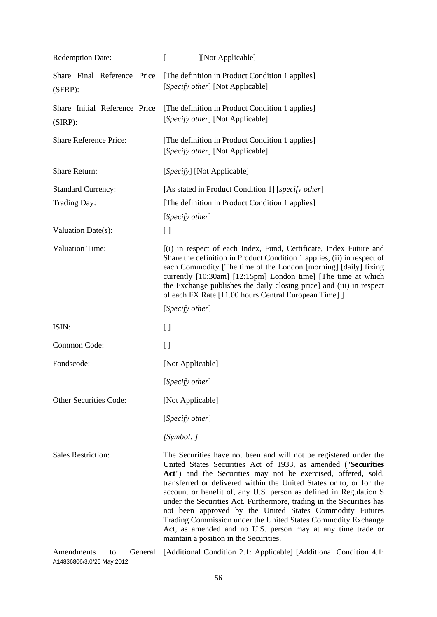| <b>Redemption Date:</b>                     | ſ<br>][Not Applicable]                                                                                                                                                                                                                                                                                                                                                                                                                                                                                                                                                                                                                                        |
|---------------------------------------------|---------------------------------------------------------------------------------------------------------------------------------------------------------------------------------------------------------------------------------------------------------------------------------------------------------------------------------------------------------------------------------------------------------------------------------------------------------------------------------------------------------------------------------------------------------------------------------------------------------------------------------------------------------------|
| Share Final Reference Price<br>$(SFRP)$ :   | [The definition in Product Condition 1 applies]<br>[Specify other] [Not Applicable]                                                                                                                                                                                                                                                                                                                                                                                                                                                                                                                                                                           |
| Share Initial Reference Price<br>$(SIRP)$ : | [The definition in Product Condition 1 applies]<br>[Specify other] [Not Applicable]                                                                                                                                                                                                                                                                                                                                                                                                                                                                                                                                                                           |
| <b>Share Reference Price:</b>               | [The definition in Product Condition 1 applies]<br>[Specify other] [Not Applicable]                                                                                                                                                                                                                                                                                                                                                                                                                                                                                                                                                                           |
| <b>Share Return:</b>                        | [Specify] [Not Applicable]                                                                                                                                                                                                                                                                                                                                                                                                                                                                                                                                                                                                                                    |
| <b>Standard Currency:</b>                   | [As stated in Product Condition 1] [specify other]                                                                                                                                                                                                                                                                                                                                                                                                                                                                                                                                                                                                            |
| Trading Day:                                | [The definition in Product Condition 1 applies]                                                                                                                                                                                                                                                                                                                                                                                                                                                                                                                                                                                                               |
|                                             | [Specify other]                                                                                                                                                                                                                                                                                                                                                                                                                                                                                                                                                                                                                                               |
| Valuation Date(s):                          | $\left[ \ \right]$                                                                                                                                                                                                                                                                                                                                                                                                                                                                                                                                                                                                                                            |
| <b>Valuation Time:</b>                      | [(i) in respect of each Index, Fund, Certificate, Index Future and<br>Share the definition in Product Condition 1 applies, (ii) in respect of<br>each Commodity [The time of the London [morning] [daily] fixing<br>currently [10:30am] [12:15pm] London time] [The time at which<br>the Exchange publishes the daily closing price] and (iii) in respect<br>of each FX Rate [11.00 hours Central European Time] ]                                                                                                                                                                                                                                            |
|                                             | [ <i>Specify other</i> ]                                                                                                                                                                                                                                                                                                                                                                                                                                                                                                                                                                                                                                      |
| ISIN:                                       | [ ]                                                                                                                                                                                                                                                                                                                                                                                                                                                                                                                                                                                                                                                           |
| Common Code:                                | [ ]                                                                                                                                                                                                                                                                                                                                                                                                                                                                                                                                                                                                                                                           |
| Fondscode:                                  | [Not Applicable]                                                                                                                                                                                                                                                                                                                                                                                                                                                                                                                                                                                                                                              |
|                                             | [Specify other]                                                                                                                                                                                                                                                                                                                                                                                                                                                                                                                                                                                                                                               |
| Other Securities Code:                      | [Not Applicable]                                                                                                                                                                                                                                                                                                                                                                                                                                                                                                                                                                                                                                              |
|                                             | [ <i>Specify other</i> ]                                                                                                                                                                                                                                                                                                                                                                                                                                                                                                                                                                                                                                      |
|                                             | [Symbol: ]                                                                                                                                                                                                                                                                                                                                                                                                                                                                                                                                                                                                                                                    |
| <b>Sales Restriction:</b>                   | The Securities have not been and will not be registered under the<br>United States Securities Act of 1933, as amended ("Securities<br>Act") and the Securities may not be exercised, offered, sold,<br>transferred or delivered within the United States or to, or for the<br>account or benefit of, any U.S. person as defined in Regulation S<br>under the Securities Act. Furthermore, trading in the Securities has<br>not been approved by the United States Commodity Futures<br>Trading Commission under the United States Commodity Exchange<br>Act, as amended and no U.S. person may at any time trade or<br>maintain a position in the Securities. |
| Amendments<br>General<br>to                 | [Additional Condition 2.1: Applicable] [Additional Condition 4.1:                                                                                                                                                                                                                                                                                                                                                                                                                                                                                                                                                                                             |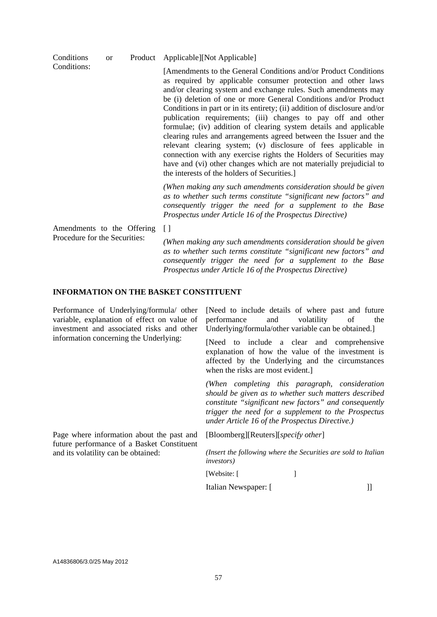| Conditions<br><b>or</b><br>Conditions:                      |                                                                                                                                                                                                   | Product Applicable][Not Applicable]                                                                                                                                                                                                                                                                                                                                                                                                                                                                                                                                                                                                                                                                                                                                                                                       |
|-------------------------------------------------------------|---------------------------------------------------------------------------------------------------------------------------------------------------------------------------------------------------|---------------------------------------------------------------------------------------------------------------------------------------------------------------------------------------------------------------------------------------------------------------------------------------------------------------------------------------------------------------------------------------------------------------------------------------------------------------------------------------------------------------------------------------------------------------------------------------------------------------------------------------------------------------------------------------------------------------------------------------------------------------------------------------------------------------------------|
|                                                             |                                                                                                                                                                                                   | [Amendments to the General Conditions and/or Product Conditions<br>as required by applicable consumer protection and other laws<br>and/or clearing system and exchange rules. Such amendments may<br>be (i) deletion of one or more General Conditions and/or Product<br>Conditions in part or in its entirety; (ii) addition of disclosure and/or<br>publication requirements; (iii) changes to pay off and other<br>formulae; (iv) addition of clearing system details and applicable<br>clearing rules and arrangements agreed between the Issuer and the<br>relevant clearing system; (v) disclosure of fees applicable in<br>connection with any exercise rights the Holders of Securities may<br>have and (vi) other changes which are not materially prejudicial to<br>the interests of the holders of Securities. |
|                                                             |                                                                                                                                                                                                   | (When making any such amendments consideration should be given<br>as to whether such terms constitute "significant new factors" and<br>consequently trigger the need for a supplement to the Base<br>Prospectus under Article 16 of the Prospectus Directive)                                                                                                                                                                                                                                                                                                                                                                                                                                                                                                                                                             |
| Amendments to the Offering<br>Procedure for the Securities: |                                                                                                                                                                                                   | $[ \ ]$                                                                                                                                                                                                                                                                                                                                                                                                                                                                                                                                                                                                                                                                                                                                                                                                                   |
|                                                             | (When making any such amendments consideration should be given<br>as to whether such terms constitute "significant new factors" and<br>consequently trigger the need for a supplement to the Base |                                                                                                                                                                                                                                                                                                                                                                                                                                                                                                                                                                                                                                                                                                                                                                                                                           |

#### **INFORMATION ON THE BASKET CONSTITUENT**

Performance of Underlying/formula/ other variable, explanation of effect on value of investment and associated risks and other information concerning the Underlying:

[Need to include details of where past and future performance and volatility of the Underlying/formula/other variable can be obtained.]

[Need to include a clear and comprehensive explanation of how the value of the investment is affected by the Underlying and the circumstances when the risks are most evident.]

*(When completing this paragraph, consideration should be given as to whether such matters described constitute "significant new factors" and consequently trigger the need for a supplement to the Prospectus under Article 16 of the Prospectus Directive.)*

Page where information about the past and future performance of a Basket Constituent and its volatility can be obtained:

[Bloomberg][Reuters][*specify other*]

*(Insert the following where the Securities are sold to Italian investors)* 

[Website: [

*Prospectus under Article 16 of the Prospectus Directive)* 

Italian Newspaper: [ ]]